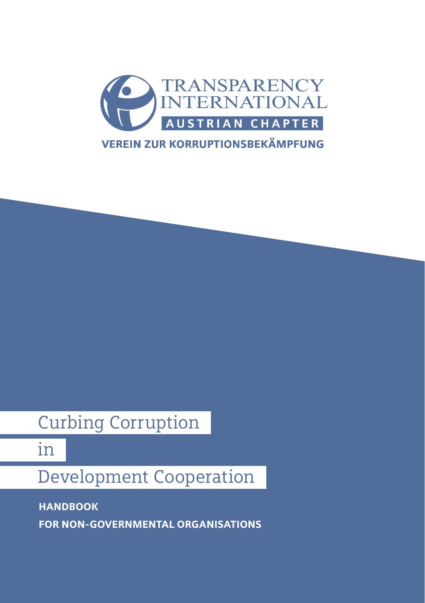

# Curbing Corruption

in

# Development Cooperation

HANDBOOK

FOR NON-GOVERNMENTAL ORGANISATIONS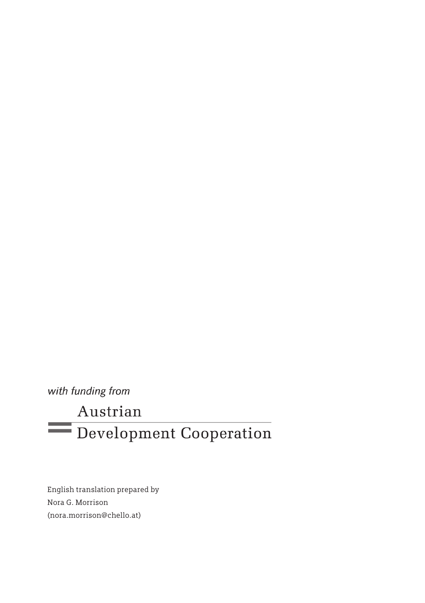with funding from

# Austrian Development Cooperation

English translation prepared by Nora G. Morrison (nora.morrison@chello.at)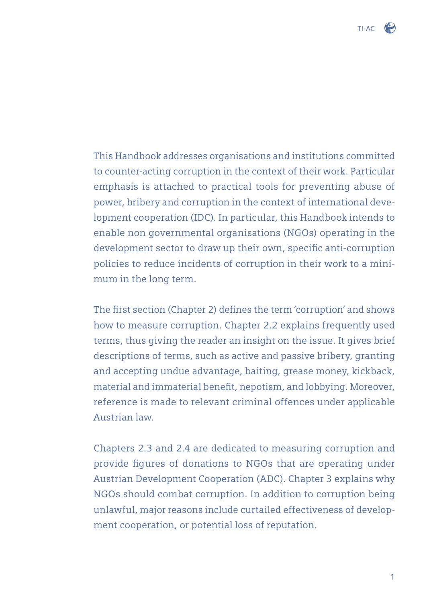This Handbook addresses organisations and institutions committed to counter-acting corruption in the context of their work. Particular emphasis is attached to practical tools for preventing abuse of power, bribery and corruption in the context of international development cooperation (IDC). In particular, this Handbook intends to enable non governmental organisations (NGOs) operating in the development sector to draw up their own, specific anti-corruption policies to reduce incidents of corruption in their work to a minimum in the long term.

The first section (Chapter 2) defines the term 'corruption' and shows how to measure corruption. Chapter 2.2 explains frequently used terms, thus giving the reader an insight on the issue. It gives brief descriptions of terms, such as active and passive bribery, granting and accepting undue advantage, baiting, grease money, kickback, material and immaterial benefit, nepotism, and lobbying. Moreover, reference is made to relevant criminal offences under applicable Austrian law.

Chapters 2.3 and 2.4 are dedicated to measuring corruption and provide figures of donations to NGOs that are operating under Austrian Development Cooperation (ADC). Chapter 3 explains why NGOs should combat corruption. In addition to corruption being unlawful, major reasons include curtailed effectiveness of development cooperation, or potential loss of reputation.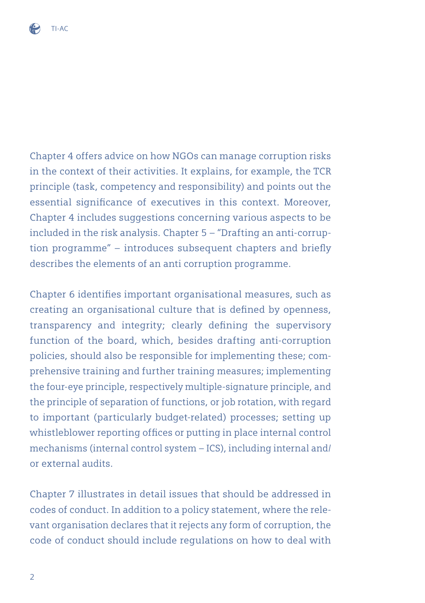

Chapter 4 offers advice on how NGOs can manage corruption risks in the context of their activities. It explains, for example, the TCR principle (task, competency and responsibility) and points out the essential significance of executives in this context. Moreover, Chapter 4 includes suggestions concerning various aspects to be included in the risk analysis. Chapter 5 – "Drafting an anti-corruption programme"  $-$  introduces subsequent chapters and briefly describes the elements of an anti corruption programme.

Chapter 6 identifies important organisational measures, such as creating an organisational culture that is defined by openness, transparency and integrity; clearly defining the supervisory function of the board, which, besides drafting anti-corruption policies, should also be responsible for implementing these; comprehensive training and further training measures; implementing the four-eye principle, respectively multiple-signature principle, and the principle of separation of functions, or job rotation, with regard to important (particularly budget-related) processes; setting up whistleblower reporting offices or putting in place internal control mechanisms (internal control system – ICS), including internal and/ or external audits.

Chapter 7 illustrates in detail issues that should be addressed in codes of conduct. In addition to a policy statement, where the relevant organisation declares that it rejects any form of corruption, the code of conduct should include regulations on how to deal with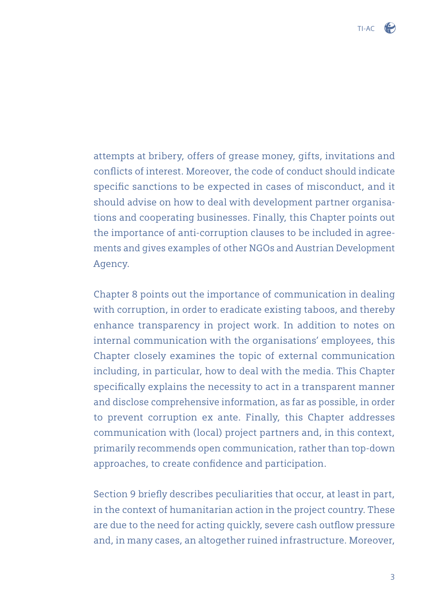attempts at bribery, offers of grease money, gifts, invitations and conflicts of interest. Moreover, the code of conduct should indicate specific sanctions to be expected in cases of misconduct, and it should advise on how to deal with development partner organisations and cooperating businesses. Finally, this Chapter points out the importance of anti-corruption clauses to be included in agreements and gives examples of other NGOs and Austrian Development Agency.

Chapter 8 points out the importance of communication in dealing with corruption, in order to eradicate existing taboos, and thereby enhance transparency in project work. In addition to notes on internal communication with the organisations' employees, this Chapter closely examines the topic of external communication including, in particular, how to deal with the media. This Chapter specifically explains the necessity to act in a transparent manner and disclose comprehensive information, as far as possible, in order to prevent corruption ex ante. Finally, this Chapter addresses communication with (local) project partners and, in this context, primarily recommends open communication, rather than top-down approaches, to create confidence and participation.

Section 9 briefly describes peculiarities that occur, at least in part, in the context of humanitarian action in the project country. These are due to the need for acting quickly, severe cash outflow pressure and, in many cases, an altogether ruined infrastructure. Moreover,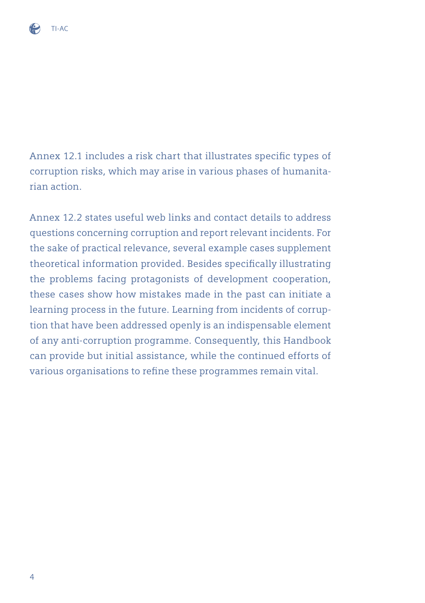

Annex 12.1 includes a risk chart that illustrates specific types of corruption risks, which may arise in various phases of humanitarian action.

Annex 12.2 states useful web links and contact details to address questions concerning corruption and report relevant incidents. For the sake of practical relevance, several example cases supplement theoretical information provided. Besides specifically illustrating the problems facing protagonists of development cooperation, these cases show how mistakes made in the past can initiate a learning process in the future. Learning from incidents of corruption that have been addressed openly is an indispensable element of any anti-corruption programme. Consequently, this Handbook can provide but initial assistance, while the continued efforts of various organisations to refine these programmes remain vital.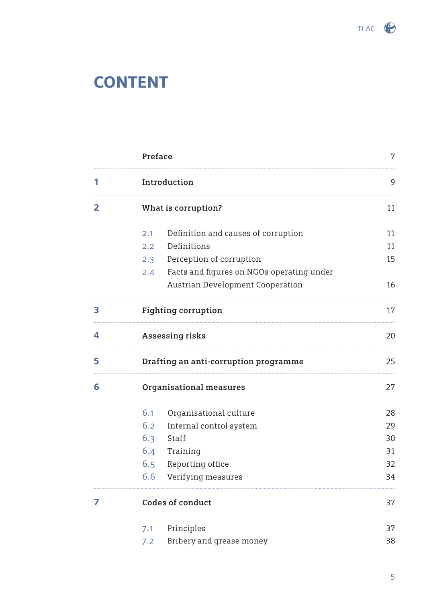

# **CONTENT**

|   | Preface                                          | 7  |
|---|--------------------------------------------------|----|
| 1 | Introduction                                     | 9  |
| 2 | What is corruption?                              | 11 |
|   | Definition and causes of corruption<br>2.1       | 11 |
|   | Definitions<br>2.2                               | 11 |
|   | Perception of corruption<br>2.3                  | 15 |
|   | Facts and figures on NGOs operating under<br>2.4 |    |
|   | Austrian Development Cooperation                 | 16 |
| 3 | Fighting corruption                              | 17 |
| 4 | Assessing risks                                  | 20 |
| 5 | Drafting an anti-corruption programme            | 25 |
| 6 | Organisational measures                          | 27 |
|   | 6.1<br>Organisational culture                    | 28 |
|   | 6.2<br>Internal control system                   | 29 |
|   | 6.3<br>Staff                                     | 30 |
|   | 6.4<br>Training                                  | 31 |
|   | 6.5<br>Reporting office                          | 32 |
|   | 6.6<br>Verifying measures                        | 34 |
| 7 | Codes of conduct                                 | 37 |
|   | Principles<br>7.1                                | 37 |
|   | Bribery and grease money<br>7.2                  | 38 |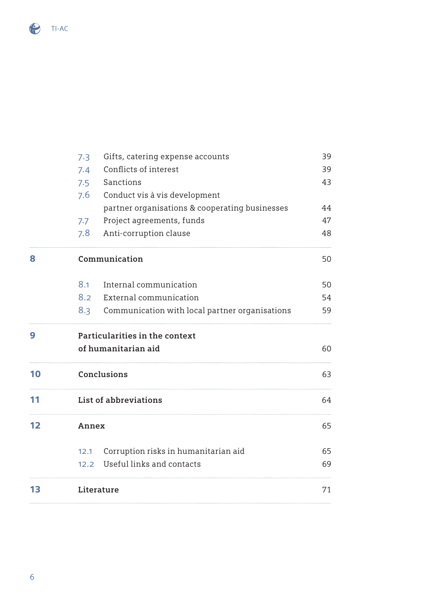

|    | Gifts, catering expense accounts<br>7.3<br>Conflicts of interest<br>7.4<br>Sanctions<br>7.5<br>7.6<br>Conduct vis à vis development<br>partner organisations & cooperating businesses | 39<br>39<br>43<br>44 |
|----|---------------------------------------------------------------------------------------------------------------------------------------------------------------------------------------|----------------------|
|    | Project agreements, funds<br>7.7<br>7.8<br>Anti-corruption clause                                                                                                                     | 47<br>48             |
| 8  | Communication                                                                                                                                                                         | 50                   |
|    | $8.1 -$<br>Internal communication                                                                                                                                                     | 50                   |
|    | 8.2 External communication                                                                                                                                                            | 54                   |
|    | 8.3 Communication with local partner organisations                                                                                                                                    | 59                   |
| 9  | Particularities in the context                                                                                                                                                        |                      |
|    | of humanitarian aid                                                                                                                                                                   | 60                   |
| 10 | Conclusions                                                                                                                                                                           | 63                   |
| 11 | List of abbreviations                                                                                                                                                                 | 64                   |
| 12 | Annex                                                                                                                                                                                 | 65                   |
|    | 12.1 Corruption risks in humanitarian aid                                                                                                                                             | 65                   |
|    | 12.2 Useful links and contacts                                                                                                                                                        | 69                   |
|    |                                                                                                                                                                                       |                      |
| 13 | Literature                                                                                                                                                                            | 71                   |
|    |                                                                                                                                                                                       |                      |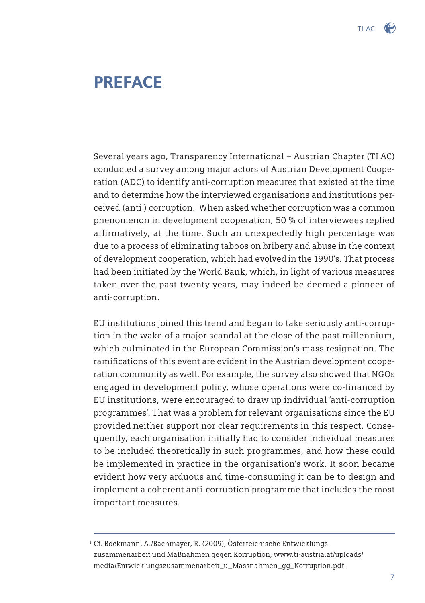# PREFACE

Several years ago, Transparency International – Austrian Chapter (TI AC) conducted a survey among major actors of Austrian Development Cooperation (ADC) to identify anti-corruption measures that existed at the time and to determine how the interviewed organisations and institutions perceived (anti ) corruption. When asked whether corruption was a common phenomenon in development cooperation, 50 % of interviewees replied affirmatively, at the time. Such an unexpectedly high percentage was due to a process of eliminating taboos on bribery and abuse in the context of development cooperation, which had evolved in the 1990's. That process had been initiated by the World Bank, which, in light of various measures taken over the past twenty years, may indeed be deemed a pioneer of anti-corruption.

EU institutions joined this trend and began to take seriously anti-corruption in the wake of a major scandal at the close of the past millennium, which culminated in the European Commission's mass resignation. The ramifications of this event are evident in the Austrian development cooperation community as well. For example, the survey also showed that NGOs engaged in development policy, whose operations were co-financed by EU institutions, were encouraged to draw up individual 'anti-corruption programmes'. That was a problem for relevant organisations since the EU provided neither support nor clear requirements in this respect. Consequently, each organisation initially had to consider individual measures to be included theoretically in such programmes, and how these could be implemented in practice in the organisation's work. It soon became evident how very arduous and time-consuming it can be to design and implement a coherent anti-corruption programme that includes the most important measures.

<sup>&</sup>lt;sup>1</sup> Cf. Böckmann, A./Bachmayer, R. (2009), Österreichische Entwicklungs zusammenarbeit und Maßnahmen gegen Korruption, www.ti-austria.at/uploads/ media/Entwicklungszusammenarbeit\_u\_Massnahmen\_gg\_Korruption.pdf.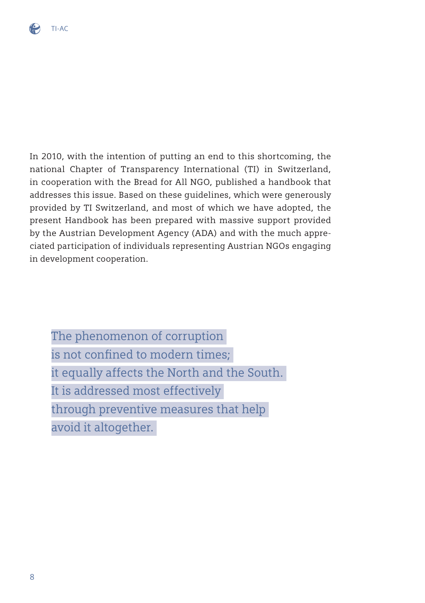

In 2010, with the intention of putting an end to this shortcoming, the national Chapter of Transparency International (TI) in Switzerland, in cooperation with the Bread for All NGO, published a handbook that addresses this issue. Based on these guidelines, which were generously provided by TI Switzerland, and most of which we have adopted, the present Handbook has been prepared with massive support provided by the Austrian Development Agency (ADA) and with the much appreciated participation of individuals representing Austrian NGOs engaging in development cooperation.

The phenomenon of corruption is not confined to modern times; it equally affects the North and the South. It is addressed most effectively through preventive measures that help avoid it altogether.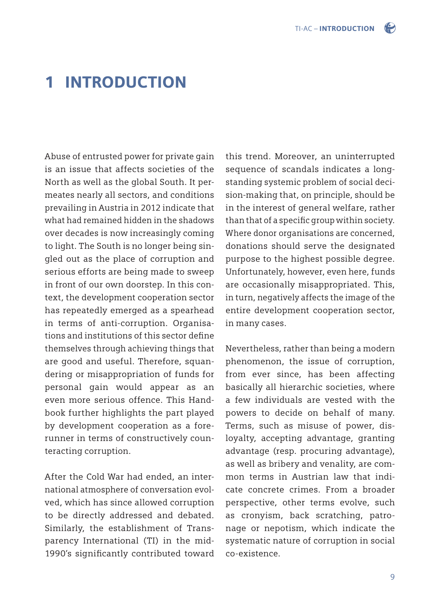

# 1 INTRODUCTION

Abuse of entrusted power for private gain is an issue that affects societies of the North as well as the global South. It permeates nearly all sectors, and conditions prevailing in Austria in 2012 indicate that what had remained hidden in the shadows over decades is now increasingly coming to light. The South is no longer being singled out as the place of corruption and serious efforts are being made to sweep in front of our own doorstep. In this context, the development cooperation sector has repeatedly emerged as a spearhead in terms of anti-corruption. Organisations and institutions of this sector define themselves through achieving things that are good and useful. Therefore, squandering or misappropriation of funds for personal gain would appear as an even more serious offence. This Handbook further highlights the part played by development cooperation as a forerunner in terms of constructively counteracting corruption.

After the Cold War had ended, an international atmosphere of conversation evolved, which has since allowed corruption to be directly addressed and debated. Similarly, the establishment of Transparency International (TI) in the mid-1990's significantly contributed toward

this trend. Moreover, an uninterrupted sequence of scandals indicates a longstanding systemic problem of social decision-making that, on principle, should be in the interest of general welfare, rather than that of a specific group within society. Where donor organisations are concerned, donations should serve the designated purpose to the highest possible degree. Unfortunately, however, even here, funds are occasionally misappropriated. This, in turn, negatively affects the image of the entire development cooperation sector, in many cases.

Nevertheless, rather than being a modern phenomenon, the issue of corruption, from ever since, has been affecting basically all hierarchic societies, where a few individuals are vested with the powers to decide on behalf of many. Terms, such as misuse of power, disloyalty, accepting advantage, granting advantage (resp. procuring advantage), as well as bribery and venality, are common terms in Austrian law that indicate concrete crimes. From a broader perspective, other terms evolve, such as cronyism, back scratching, patronage or nepotism, which indicate the systematic nature of corruption in social co-existence.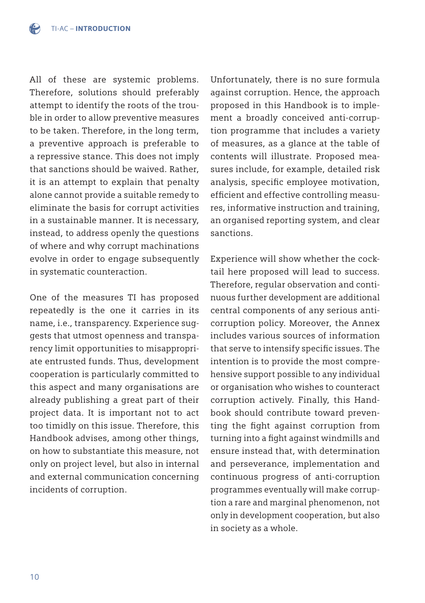All of these are systemic problems. Therefore, solutions should preferably attempt to identify the roots of the trouble in order to allow preventive measures to be taken. Therefore, in the long term, a preventive approach is preferable to a repressive stance. This does not imply that sanctions should be waived. Rather, it is an attempt to explain that penalty alone cannot provide a suitable remedy to eliminate the basis for corrupt activities in a sustainable manner. It is necessary, instead, to address openly the questions of where and why corrupt machinations evolve in order to engage subsequently in systematic counteraction.

One of the measures TI has proposed repeatedly is the one it carries in its name, i.e., transparency. Experience suggests that utmost openness and transparency limit opportunities to misappropriate entrusted funds. Thus, development cooperation is particularly committed to this aspect and many organisations are already publishing a great part of their project data. It is important not to act too timidly on this issue. Therefore, this Handbook advises, among other things, on how to substantiate this measure, not only on project level, but also in internal and external communication concerning incidents of corruption.

Unfortunately, there is no sure formula against corruption. Hence, the approach proposed in this Handbook is to implement a broadly conceived anti-corruption programme that includes a variety of measures, as a glance at the table of contents will illustrate. Proposed measures include, for example, detailed risk analysis, specific employee motivation, efficient and effective controlling measures, informative instruction and training, an organised reporting system, and clear sanctions.

Experience will show whether the cocktail here proposed will lead to success. Therefore, regular observation and continuous further development are additional central components of any serious anticorruption policy. Moreover, the Annex includes various sources of information that serve to intensify specific issues. The intention is to provide the most comprehensive support possible to any individual or organisation who wishes to counteract corruption actively. Finally, this Handbook should contribute toward preventing the fight against corruption from turning into a fight against windmills and ensure instead that, with determination and perseverance, implementation and continuous progress of anti-corruption programmes eventually will make corruption a rare and marginal phenomenon, not only in development cooperation, but also in society as a whole.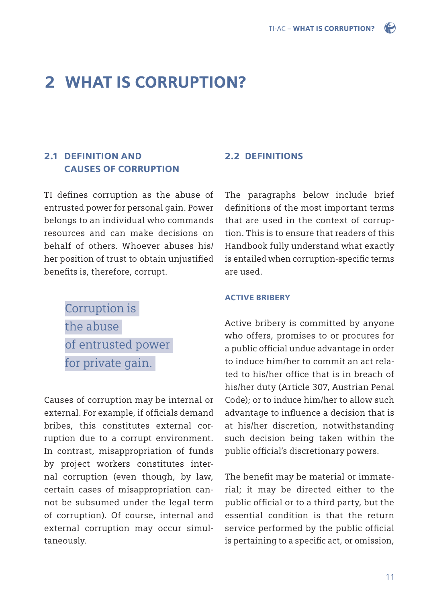# 2 WHAT IS CORRUPTION?

### 2.1 DEFINITION AND CAUSES OF CORRUPTION

TI defines corruption as the abuse of entrusted power for personal gain. Power belongs to an individual who commands resources and can make decisions on behalf of others. Whoever abuses his/ her position of trust to obtain unjustified benefits is, therefore, corrupt.

> Corruption is the abuse of entrusted power for private gain.

Causes of corruption may be internal or external. For example, if officials demand bribes, this constitutes external corruption due to a corrupt environment. In contrast, misappropriation of funds by project workers constitutes internal corruption (even though, by law, certain cases of misappropriation cannot be subsumed under the legal term of corruption). Of course, internal and external corruption may occur simultaneously.

### 2.2 DEFINITIONS

The paragraphs below include brief definitions of the most important terms that are used in the context of corruption. This is to ensure that readers of this Handbook fully understand what exactly is entailed when corruption-specific terms are used.

#### ACTIVE BRIBERY

Active bribery is committed by anyone who offers, promises to or procures for a public official undue advantage in order to induce him/her to commit an act related to his/her office that is in breach of his/her duty (Article 307, Austrian Penal Code); or to induce him/her to allow such advantage to influence a decision that is at his/her discretion, notwithstanding such decision being taken within the public official's discretionary powers.

The benefit may be material or immaterial; it may be directed either to the public official or to a third party, but the essential condition is that the return service performed by the public official is pertaining to a specific act, or omission,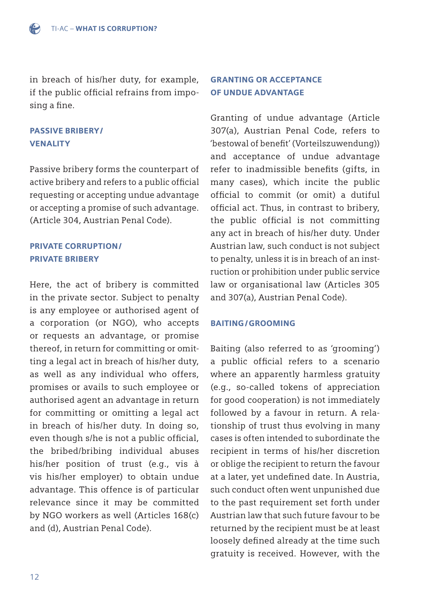

in breach of his/her duty, for example, if the public official refrains from imposing a fine.

### PASSIVE BRIBERY/ VENALITY

Passive bribery forms the counterpart of active bribery and refers to a public official requesting or accepting undue advantage or accepting a promise of such advantage. (Article 304, Austrian Penal Code).

### PRIVATE CORRUPTION/ PRIVATE BRIBERY

Here, the act of bribery is committed in the private sector. Subject to penalty is any employee or authorised agent of a corporation (or NGO), who accepts or requests an advantage, or promise thereof, in return for committing or omitting a legal act in breach of his/her duty, as well as any individual who offers, promises or avails to such employee or authorised agent an advantage in return for committing or omitting a legal act in breach of his/her duty. In doing so, even though s/he is not a public official, the bribed/bribing individual abuses his/her position of trust (e.g., vis à vis his/her employer) to obtain undue advantage. This offence is of particular relevance since it may be committed by NGO workers as well (Articles 168(c) and (d), Austrian Penal Code).

### GRANTING OR ACCEPTANCE OF UNDUE ADVANTAGE

Granting of undue advantage (Article 307(a), Austrian Penal Code, refers to 'bestowal of benefit' (Vorteilszuwendung)) and acceptance of undue advantage refer to inadmissible benefits (gifts, in many cases), which incite the public official to commit (or omit) a dutiful official act. Thus, in contrast to bribery, the public official is not committing any act in breach of his/her duty. Under Austrian law, such conduct is not subject to penalty, unless it is in breach of an instruction or prohibition under public service law or organisational law (Articles 305 and 307(a), Austrian Penal Code).

### BAITING/GROOMING

Baiting (also referred to as 'grooming') a public official refers to a scenario where an apparently harmless gratuity (e.g., so-called tokens of appreciation for good cooperation) is not immediately followed by a favour in return. A relationship of trust thus evolving in many cases is often intended to subordinate the recipient in terms of his/her discretion or oblige the recipient to return the favour at a later, yet undefined date. In Austria, such conduct often went unpunished due to the past requirement set forth under Austrian law that such future favour to be returned by the recipient must be at least loosely defined already at the time such gratuity is received. However, with the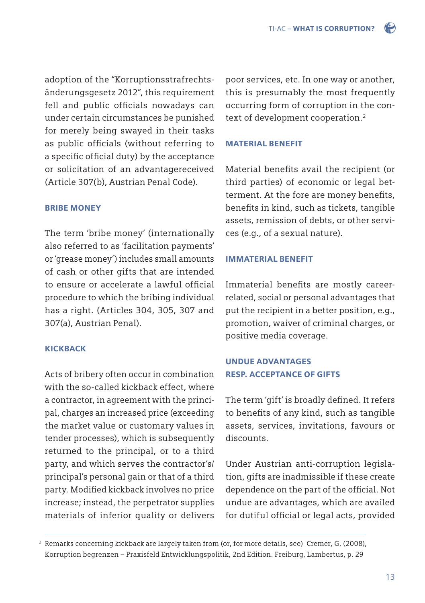adoption of the "Korruptionsstrafrechtsänderungsgesetz 2012", this requirement fell and public officials nowadays can under certain circumstances be punished for merely being swayed in their tasks as public officials (without referring to a specific official duty) by the acceptance or solicitation of an advantagereceived (Article 307(b), Austrian Penal Code).

### BRIBE MONEY

The term 'bribe money' (internationally also referred to as 'facilitation payments' or 'grease money') includes small amounts of cash or other gifts that are intended to ensure or accelerate a lawful official procedure to which the bribing individual has a right. (Articles 304, 305, 307 and 307(a), Austrian Penal).

### KICKBACK

Acts of bribery often occur in combination with the so-called kickback effect, where a contractor, in agreement with the principal, charges an increased price (exceeding the market value or customary values in tender processes), which is subsequently returned to the principal, or to a third party, and which serves the contractor's/ principal's personal gain or that of a third party. Modified kickback involves no price increase; instead, the perpetrator supplies materials of inferior quality or delivers

poor services, etc. In one way or another, this is presumably the most frequently occurring form of corruption in the context of development cooperation.<sup>2</sup>

#### MATERIAL BENEFIT

Material benefits avail the recipient (or third parties) of economic or legal betterment. At the fore are money benefits, benefits in kind, such as tickets, tangible assets, remission of debts, or other services (e.g., of a sexual nature).

### IMMATERIAL BENEFIT

Immaterial benefits are mostly careerrelated, social or personal advantages that put the recipient in a better position, e.g., promotion, waiver of criminal charges, or positive media coverage.

### UNDUE ADVANTAGES RESP. ACCEPTANCE OF GIFTS

The term 'gift' is broadly defined. It refers to benefits of any kind, such as tangible assets, services, invitations, favours or discounts.

Under Austrian anti-corruption legislation, gifts are inadmissible if these create dependence on the part of the official. Not undue are advantages, which are availed for dutiful official or legal acts, provided

<sup>&</sup>lt;sup>2</sup> Remarks concerning kickback are largely taken from (or, for more details, see) Cremer, G. (2008), Korruption begrenzen – Praxisfeld Entwicklungspolitik, 2nd Edition. Freiburg, Lambertus, p. 29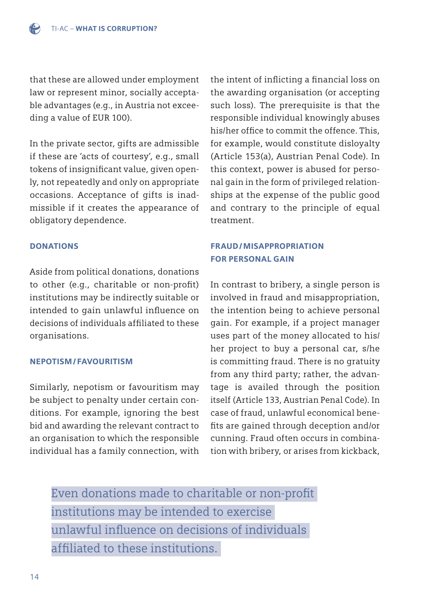that these are allowed under employment law or represent minor, socially acceptable advantages (e.g., in Austria not exceeding a value of EUR 100).

In the private sector, gifts are admissible if these are 'acts of courtesy', e.g., small tokens of insignificant value, given openly, not repeatedly and only on appropriate occasions. Acceptance of gifts is inadmissible if it creates the appearance of obligatory dependence.

### **DONATIONS**

Aside from political donations, donations to other (e.g., charitable or non-profit) institutions may be indirectly suitable or intended to gain unlawful influence on decisions of individuals affiliated to these organisations.

#### NEPOTISM/FAVOURITISM

Similarly, nepotism or favouritism may be subject to penalty under certain conditions. For example, ignoring the best bid and awarding the relevant contract to an organisation to which the responsible individual has a family connection, with the intent of inflicting a financial loss on the awarding organisation (or accepting such loss). The prerequisite is that the responsible individual knowingly abuses his/her office to commit the offence. This, for example, would constitute disloyalty (Article 153(a), Austrian Penal Code). In this context, power is abused for personal gain in the form of privileged relationships at the expense of the public good and contrary to the principle of equal treatment.

### FRAUD/MISAPPROPRIATION FOR PERSONAL GAIN

In contrast to bribery, a single person is involved in fraud and misappropriation, the intention being to achieve personal gain. For example, if a project manager uses part of the money allocated to his/ her project to buy a personal car, s/he is committing fraud. There is no gratuity from any third party; rather, the advantage is availed through the position itself (Article 133, Austrian Penal Code). In case of fraud, unlawful economical benefits are gained through deception and/or cunning. Fraud often occurs in combination with bribery, or arises from kickback,

Even donations made to charitable or non-profit institutions may be intended to exercise unlawful influence on decisions of individuals affiliated to these institutions.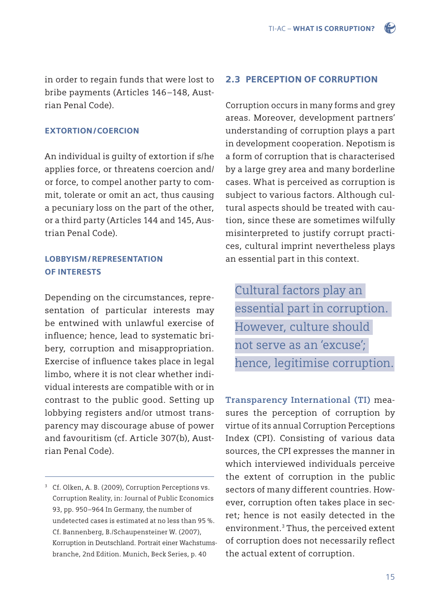in order to regain funds that were lost to bribe payments (Articles 146–148, Austrian Penal Code).

### EXTORTION/COERCION

An individual is guilty of extortion if s/he applies force, or threatens coercion and/ or force, to compel another party to commit, tolerate or omit an act, thus causing a pecuniary loss on the part of the other, or a third party (Articles 144 and 145, Austrian Penal Code).

### LOBBYISM/REPRESENTATION OF INTERESTS

Depending on the circumstances, representation of particular interests may be entwined with unlawful exercise of influence; hence, lead to systematic bribery, corruption and misappropriation. Exercise of influence takes place in legal limbo, where it is not clear whether individual interests are compatible with or in contrast to the public good. Setting up lobbying registers and/or utmost transparency may discourage abuse of power and favouritism (cf. Article 307(b), Austrian Penal Code).

### 2.3 PERCEPTION OF CORRUPTION

Corruption occurs in many forms and grey areas. Moreover, development partners' understanding of corruption plays a part in development cooperation. Nepotism is a form of corruption that is characterised by a large grey area and many borderline cases. What is perceived as corruption is subject to various factors. Although cultural aspects should be treated with caution, since these are sometimes wilfully misinterpreted to justify corrupt practices, cultural imprint nevertheless plays an essential part in this context.

Cultural factors play an essential part in corruption. However, culture should not serve as an 'excuse'; hence, legitimise corruption.

**Transparency International (TI)** measures the perception of corruption by virtue of its annual Corruption Perceptions Index (CPI). Consisting of various data sources, the CPI expresses the manner in which interviewed individuals perceive the extent of corruption in the public sectors of many different countries. However, corruption often takes place in secret; hence is not easily detected in the environment.<sup>3</sup> Thus, the perceived extent of corruption does not necessarily reflect the actual extent of corruption.

<sup>&</sup>lt;sup>3</sup> Cf. Olken, A. B. (2009), Corruption Perceptions vs. Corruption Reality, in: Journal of Public Economics 93, pp. 950–964 In Germany, the number of undetected cases is estimated at no less than 95 %. Cf. Bannenberg, B./Schaupensteiner W. (2007), Korruption in Deutschland. Portrait einer Wachstums branche, 2nd Edition. Munich, Beck Series, p. 40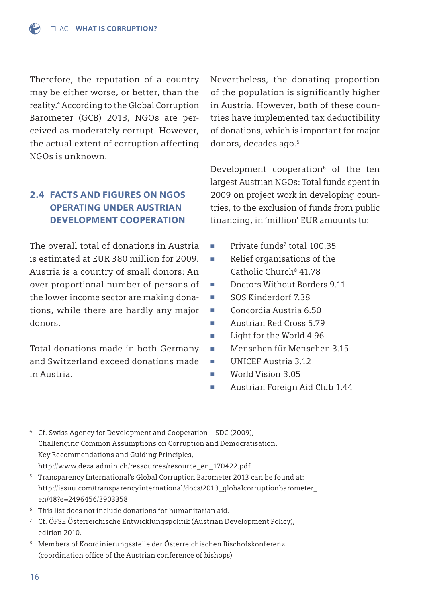Therefore, the reputation of a country may be either worse, or better, than the reality.4 According to the Global Corruption Barometer (GCB) 2013, NGOs are perceived as moderately corrupt. However, the actual extent of corruption affecting NGOs is unknown.

# 2.4 FACTS AND FIGURES ON NGOS OPERATING UNDER AUSTRIAN DEVELOPMENT COOPERATION

The overall total of donations in Austria is estimated at EUR 380 million for 2009. Austria is a country of small donors: An over proportional number of persons of the lower income sector are making donations, while there are hardly any major donors.

Total donations made in both Germany and Switzerland exceed donations made in Austria.

Nevertheless, the donating proportion of the population is significantly higher in Austria. However, both of these countries have implemented tax deductibility of donations, which is important for major donors, decades ago.<sup>5</sup>

Development cooperation<sup>6</sup> of the ten largest Austrian NGOs: Total funds spent in 2009 on project work in developing countries, to the exclusion of funds from public financing, in 'million' EUR amounts to:

- Private funds<sup>7</sup> total 100.35
- Relief organisations of the Catholic Church8 41.78
- Doctors Without Borders 9.11
- SOS Kinderdorf 7.38
- Concordia Austria 6.50
- Austrian Red Cross 5.79
- Light for the World 4.96
- Menschen für Menschen 3.15
- UNICEF Austria 3.12
- World Vision 3.05
- Austrian Foreign Aid Club 1.44

4 Cf. Swiss Agency for Development and Cooperation – SDC (2009), Challenging Common Assumptions on Corruption and Democratisation. Key Recommendations and Guiding Principles, http://www.deza.admin.ch/ressources/resource\_en\_170422.pdf

- 5 Transparency International's Global Corruption Barometer 2013 can be found at: [http://issuu.com/transparencyinternational/docs/2013\\_globalcorruptionbarometer\\_](http://issuu.com/transparencyinternational/docs/2013_globalcorruptionbarometer_en/48?e=2496456/3903358) en/48?e=2496456/3903358
- 6 This list does not include donations for humanitarian aid.
- 7 Cf. ÖFSE Österreichische Entwicklungspolitik (Austrian Development Policy), edition 2010.
- 8 Members of Koordinierungsstelle der Österreichischen Bischofskonferenz (coordination office of the Austrian conference of bishops)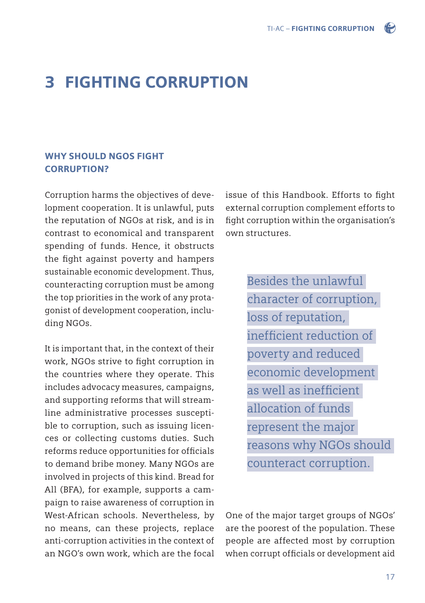

# 3 FIGHTING CORRUPTION

### WHY SHOULD NGOS FIGHT CORRUPTION?

Corruption harms the objectives of development cooperation. It is unlawful, puts the reputation of NGOs at risk, and is in contrast to economical and transparent spending of funds. Hence, it obstructs the fight against poverty and hampers sustainable economic development. Thus, counteracting corruption must be among the top priorities in the work of any protagonist of development cooperation, including NGOs.

It is important that, in the context of their work, NGOs strive to fight corruption in the countries where they operate. This includes advocacy measures, campaigns, and supporting reforms that will streamline administrative processes susceptible to corruption, such as issuing licences or collecting customs duties. Such reforms reduce opportunities for officials to demand bribe money. Many NGOs are involved in projects of this kind. Bread for All (BFA), for example, supports a campaign to raise awareness of corruption in West-African schools. Nevertheless, by no means, can these projects, replace anti-corruption activities in the context of an NGO's own work, which are the focal issue of this Handbook. Efforts to fight external corruption complement efforts to fight corruption within the organisation's own structures.

> Besides the unlawful character of corruption, loss of reputation, inefficient reduction of poverty and reduced economic development as well as inefficient allocation of funds represent the major reasons why NGOs should counteract corruption.

One of the major target groups of NGOs' are the poorest of the population. These people are affected most by corruption when corrupt officials or development aid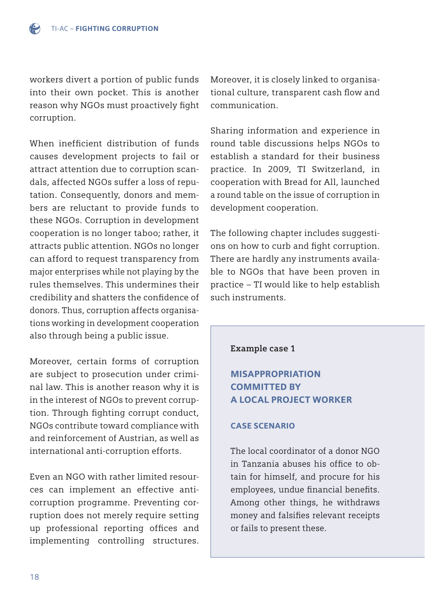workers divert a portion of public funds into their own pocket. This is another reason why NGOs must proactively fight corruption.

When inefficient distribution of funds causes development projects to fail or attract attention due to corruption scandals, affected NGOs suffer a loss of reputation. Consequently, donors and members are reluctant to provide funds to these NGOs. Corruption in development cooperation is no longer taboo; rather, it attracts public attention. NGOs no longer can afford to request transparency from major enterprises while not playing by the rules themselves. This undermines their credibility and shatters the confidence of donors. Thus, corruption affects organisations working in development cooperation also through being a public issue.

Moreover, certain forms of corruption are subject to prosecution under criminal law. This is another reason why it is in the interest of NGOs to prevent corruption. Through fighting corrupt conduct, NGOs contribute toward compliance with and reinforcement of Austrian, as well as international anti-corruption efforts.

Even an NGO with rather limited resources can implement an effective anticorruption programme. Preventing corruption does not merely require setting up professional reporting offices and implementing controlling structures. Moreover, it is closely linked to organisational culture, transparent cash flow and communication.

Sharing information and experience in round table discussions helps NGOs to establish a standard for their business practice. In 2009, TI Switzerland, in cooperation with Bread for All, launched a round table on the issue of corruption in development cooperation.

The following chapter includes suggestions on how to curb and fight corruption. There are hardly any instruments available to NGOs that have been proven in practice – TI would like to help establish such instruments.

### **Example case 1**

# MISAPPROPRIATION COMMITTED BY A LOCAL PROJECT WORKER

### CASE SCENARIO

The local coordinator of a donor NGO in Tanzania abuses his office to obtain for himself, and procure for his employees, undue financial benefits. Among other things, he withdraws money and falsifies relevant receipts or fails to present these.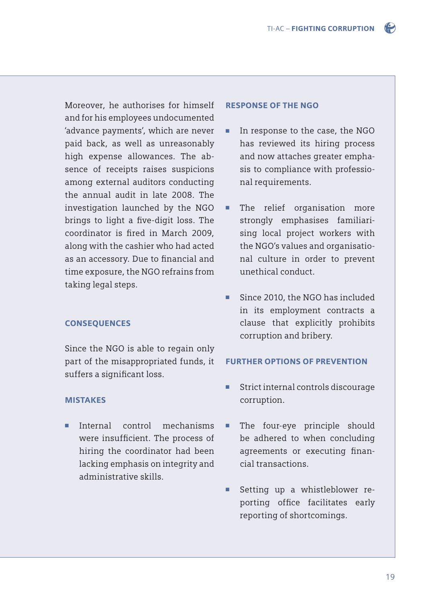

Moreover, he authorises for himself and for his employees undocumented 'advance payments', which are never paid back, as well as unreasonably high expense allowances. The absence of receipts raises suspicions among external auditors conducting the annual audit in late 2008. The investigation launched by the NGO brings to light a five-digit loss. The coordinator is fired in March 2009, along with the cashier who had acted as an accessory. Due to financial and time exposure, the NGO refrains from taking legal steps.

### **CONSEQUENCES**

Since the NGO is able to regain only part of the misappropriated funds, it suffers a significant loss.

### **MISTAKES**

■ Internal control mechanisms were insufficient. The process of hiring the coordinator had been lacking emphasis on integrity and administrative skills.

#### RESPONSE OF THE NGO

- In response to the case, the NGO has reviewed its hiring process and now attaches greater empha sis to compliance with professio nal requirements.
- The relief organisation more strongly emphasises familiari sing local project workers with the NGO's values and organisatio nal culture in order to prevent unethical conduct.
- Since 2010, the NGO has included in its employment contracts a clause that explicitly prohibits corruption and bribery.

#### FURTHER OPTIONS OF PREVENTION

- Strict internal controls discourage corruption.
- The four-eye principle should be adhered to when concluding agreements or executing financial transactions.
- Setting up a whistleblower re porting office facilitates early reporting of shortcomings.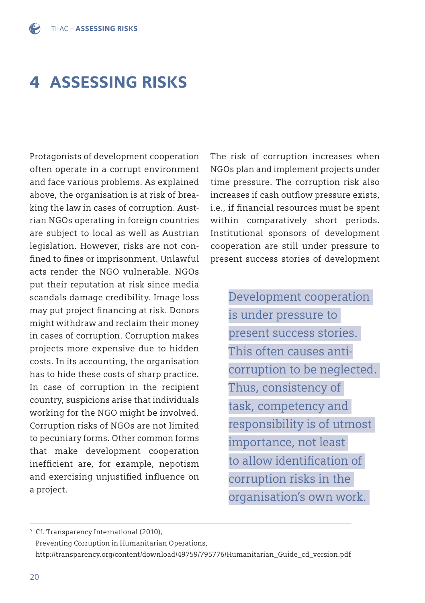# 4 ASSESSING RISKS

Protagonists of development cooperation often operate in a corrupt environment and face various problems. As explained above, the organisation is at risk of breaking the law in cases of corruption. Austrian NGOs operating in foreign countries are subject to local as well as Austrian legislation. However, risks are not confined to fines or imprisonment. Unlawful acts render the NGO vulnerable. NGOs put their reputation at risk since media scandals damage credibility. Image loss may put project financing at risk. Donors might withdraw and reclaim their money in cases of corruption. Corruption makes projects more expensive due to hidden costs. In its accounting, the organisation has to hide these costs of sharp practice. In case of corruption in the recipient country, suspicions arise that individuals working for the NGO might be involved. Corruption risks of NGOs are not limited to pecuniary forms. Other common forms that make development cooperation inefficient are, for example, nepotism and exercising unjustified influence on a project.

The risk of corruption increases when NGOs plan and implement projects under time pressure. The corruption risk also increases if cash outflow pressure exists, i.e., if financial resources must be spent within comparatively short periods. Institutional sponsors of development cooperation are still under pressure to present success stories of development

> Development cooperation is under pressure to present success stories. This often causes anticorruption to be neglected. Thus, consistency of task, competency and responsibility is of utmost importance, not least to allow identification of corruption risks in the organisation's own work.

9 Cf. Transparency International (2010), Preventing Corruption in Humanitarian Operations, http://transparency.org/content/download/49759/795776/Humanitarian\_Guide\_cd\_version.pdf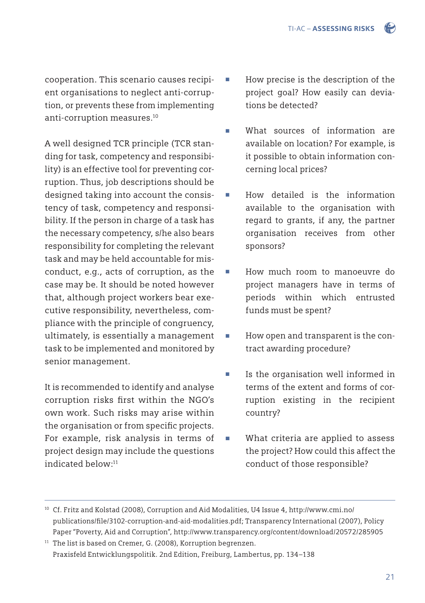cooperation. This scenario causes recipient organisations to neglect anti-corruption, or prevents these from implementing anti-corruption measures.10

A well designed TCR principle (TCR standing for task, competency and responsibility) is an effective tool for preventing corruption. Thus, job descriptions should be designed taking into account the consistency of task, competency and responsibility. If the person in charge of a task has the necessary competency, s/he also bears responsibility for completing the relevant task and may be held accountable for misconduct, e.g., acts of corruption, as the case may be. It should be noted however that, although project workers bear executive responsibility, nevertheless, compliance with the principle of congruency, ultimately, is essentially a management task to be implemented and monitored by senior management.

It is recommended to identify and analyse corruption risks first within the NGO's own work. Such risks may arise within the organisation or from specific projects. For example, risk analysis in terms of project design may include the questions indicated below:11

- How precise is the description of the project goal? How easily can devia tions be detected?
- What sources of information are available on location? For example, is it possible to obtain information con cerning local prices?
- How detailed is the information available to the organisation with regard to grants, if any, the partner organisation receives from other sponsors?
- How much room to manoeuvre do project managers have in terms of periods within which entrusted funds must be spent?
- How open and transparent is the contract awarding procedure?
- Is the organisation well informed in terms of the extent and forms of cor ruption existing in the recipient country?
- What criteria are applied to assess the project? How could this affect the conduct of those responsible?

<sup>10</sup> Cf. Fritz and Kolstad (2008), Corruption and Aid Modalities, U4 Issue 4, http://www.cmi.no/ publications/fi le/3102-corruption-and-aid-modalities.pdf; Transparency International (2007), Policy Paper "Poverty, Aid and Corruption", http://www.transparency.org/content/download/20572/285905

<sup>&</sup>lt;sup>11</sup> The list is based on Cremer, G. (2008), Korruption begrenzen. Praxisfeld Entwicklungspolitik. 2nd Edition, Freiburg, Lambertus, pp. 134–138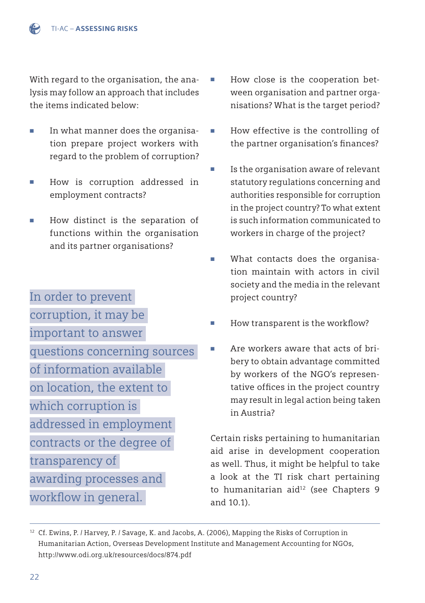With regard to the organisation, the analysis may follow an approach that includes the items indicated below:

- In what manner does the organisa tion prepare project workers with regard to the problem of corruption?
- How is corruption addressed in employment contracts?
- How distinct is the separation of functions within the organisation and its partner organisations?
- In order to prevent corruption, it may be important to answer questions concerning sources of information available on location, the extent to which corruption is addressed in employment contracts or the degree of transparency of awarding processes and
- workflow in general.
- How close is the cooperation bet ween organisation and partner orga nisations? What is the target period?
	- How effective is the controlling of the partner organisation's finances?
	- Is the organisation aware of relevant statutory regulations concerning and authorities responsible for corruption in the project country? To what extent is such information communicated to workers in charge of the project?
- What contacts does the organisa tion maintain with actors in civil society and the media in the relevant project country?
- $\blacksquare$  How transparent is the workflow?
- Are workers aware that acts of bri bery to obtain advantage committed by workers of the NGO's represen tative offices in the project country may result in legal action being taken in Austria?

Certain risks pertaining to humanitarian aid arise in development cooperation as well. Thus, it might be helpful to take a look at the TI risk chart pertaining to humanitarian aid<sup>12</sup> (see Chapters 9 and 10.1).

<sup>&</sup>lt;sup>12</sup> Cf. Ewins, P. / Harvey, P. / Savage, K. and Jacobs, A. (2006), Mapping the Risks of Corruption in Humanitarian Action, Overseas Development Institute and Management Accounting for NGOs, http://www.odi.org.uk/resources/docs/874.pdf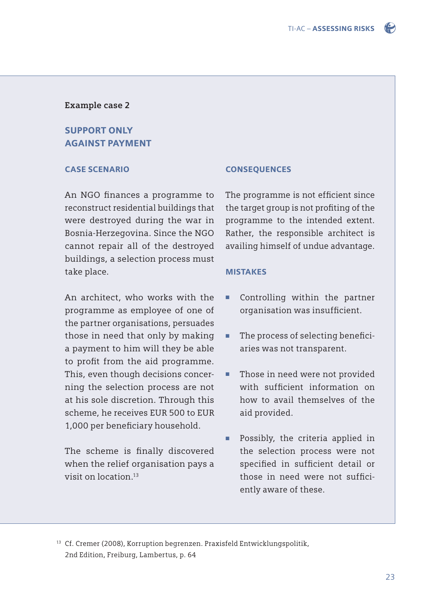

### **Example case 2**

# SUPPORT ONLY AGAINST PAYMENT

### CASE SCENARIO

An NGO finances a programme to reconstruct residential buildings that were destroyed during the war in Bosnia-Herzegovina. Since the NGO cannot repair all of the destroyed buildings, a selection process must take place.

An architect, who works with the programme as employee of one of the partner organisations, persuades those in need that only by making a payment to him will they be able to profit from the aid programme. This, even though decisions concerning the selection process are not at his sole discretion. Through this scheme, he receives EUR 500 to EUR 1,000 per beneficiary household.

The scheme is finally discovered when the relief organisation pays a visit on location<sup>13</sup>

#### **CONSEQUENCES**

The programme is not efficient since the target group is not profiting of the programme to the intended extent. Rather, the responsible architect is availing himself of undue advantage.

#### MISTAKES

- Controlling within the partner organisation was insufficient.
- The process of selecting beneficiaries was not transparent.
- Those in need were not provided with sufficient information on how to avail themselves of the aid provided.
- Possibly, the criteria applied in the selection process were not specified in sufficient detail or those in need were not sufficiently aware of these.

13 Cf. Cremer (2008), Korruption begrenzen. Praxisfeld Entwicklungspolitik, 2nd Edition, Freiburg, Lambertus, p. 64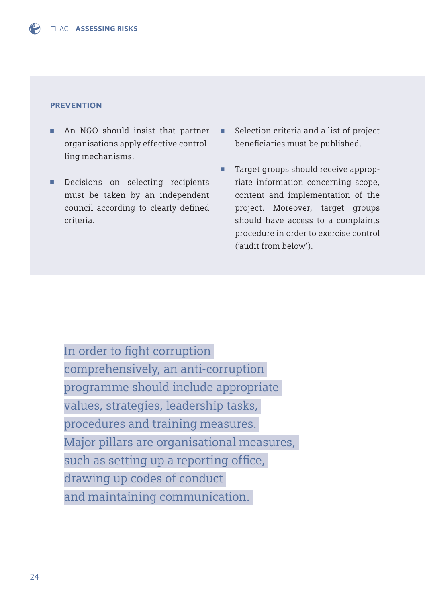#### **PREVENTION**

- An NGO should insist that partner organisations apply effective control ling mechanisms.
- Decisions on selecting recipients must be taken by an independent council according to clearly defined criteria.
- Selection criteria and a list of project beneficiaries must be published.
- Target groups should receive approp riate information concerning scope, content and implementation of the project. Moreover, target groups should have access to a complaints procedure in order to exercise control ('audit from below').

In order to fight corruption comprehensively, an anti-corruption programme should include appropriate values, strategies, leadership tasks, procedures and training measures. Major pillars are organisational measures, such as setting up a reporting office, drawing up codes of conduct and maintaining communication.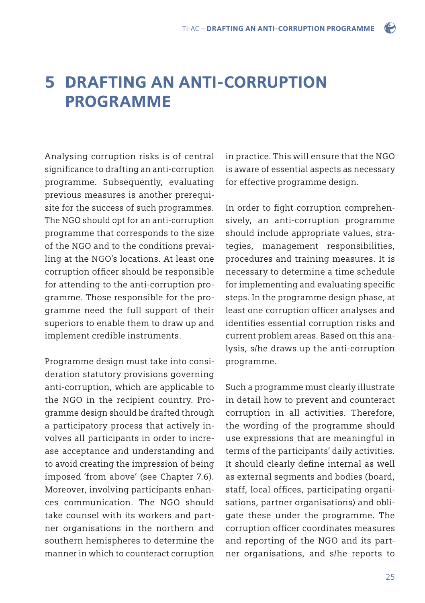# 5 DRAFTING AN ANTI-CORRUPTION **PROGRAMME**

Analysing corruption risks is of central significance to drafting an anti-corruption programme. Subsequently, evaluating previous measures is another prerequisite for the success of such programmes. The NGO should opt for an anti-corruption programme that corresponds to the size of the NGO and to the conditions prevailing at the NGO's locations. At least one corruption officer should be responsible for attending to the anti-corruption programme. Those responsible for the programme need the full support of their superiors to enable them to draw up and implement credible instruments.

Programme design must take into consideration statutory provisions governing anti-corruption, which are applicable to the NGO in the recipient country. Programme design should be drafted through a participatory process that actively involves all participants in order to increase acceptance and understanding and to avoid creating the impression of being imposed 'from above' (see Chapter 7.6). Moreover, involving participants enhances communication. The NGO should take counsel with its workers and partner organisations in the northern and southern hemispheres to determine the manner in which to counteract corruption in practice. This will ensure that the NGO is aware of essential aspects as necessary for effective programme design.

 $\bullet$ 

In order to fight corruption comprehensively, an anti-corruption programme should include appropriate values, strategies, management responsibilities, procedures and training measures. It is necessary to determine a time schedule for implementing and evaluating specific steps. In the programme design phase, at least one corruption officer analyses and identifies essential corruption risks and current problem areas. Based on this analysis, s/he draws up the anti-corruption programme.

Such a programme must clearly illustrate in detail how to prevent and counteract corruption in all activities. Therefore, the wording of the programme should use expressions that are meaningful in terms of the participants' daily activities. It should clearly define internal as well as external segments and bodies (board, staff, local offices, participating organisations, partner organisations) and obligate these under the programme. The corruption officer coordinates measures and reporting of the NGO and its partner organisations, and s/he reports to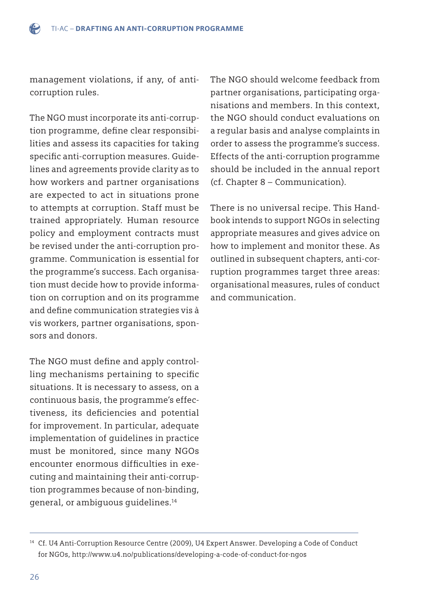management violations, if any, of anticorruption rules.

The NGO must incorporate its anti-corruption programme, define clear responsibilities and assess its capacities for taking specific anti-corruption measures. Guidelines and agreements provide clarity as to how workers and partner organisations are expected to act in situations prone to attempts at corruption. Staff must be trained appropriately. Human resource policy and employment contracts must be revised under the anti-corruption programme. Communication is essential for the programme's success. Each organisation must decide how to provide information on corruption and on its programme and define communication strategies vis à vis workers, partner organisations, sponsors and donors.

The NGO must define and apply controlling mechanisms pertaining to specific situations. It is necessary to assess, on a continuous basis, the programme's effectiveness, its deficiencies and potential for improvement. In particular, adequate implementation of guidelines in practice must be monitored, since many NGOs encounter enormous difficulties in executing and maintaining their anti-corruption programmes because of non-binding, general, or ambiguous guidelines.14

The NGO should welcome feedback from partner organisations, participating organisations and members. In this context, the NGO should conduct evaluations on a regular basis and analyse complaints in order to assess the programme's success. Effects of the anti-corruption programme should be included in the annual report (cf. Chapter 8 – Communication).

There is no universal recipe. This Handbook intends to support NGOs in selecting appropriate measures and gives advice on how to implement and monitor these. As outlined in subsequent chapters, anti-corruption programmes target three areas: organisational measures, rules of conduct and communication.

<sup>14</sup> Cf. U4 Anti-Corruption Resource Centre (2009), U4 Expert Answer. Developing a Code of Conduct for NGOs, http://www.u4.no/publications/developing-a-code-of-conduct-for-ngos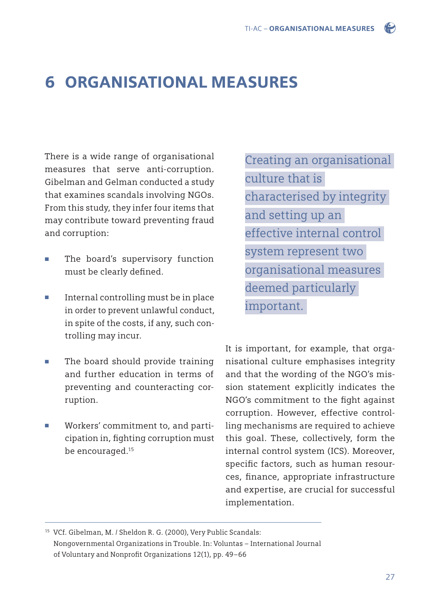# 6 ORGANISATIONAL MEASURES

There is a wide range of organisational measures that serve anti-corruption. Gibelman and Gelman conducted a study that examines scandals involving NGOs. From this study, they infer four items that may contribute toward preventing fraud and corruption:

- The board's supervisory function must be clearly defined.
- Internal controlling must be in place in order to prevent unlawful conduct, in spite of the costs, if any, such con trolling may incur.
- The board should provide training and further education in terms of preventing and counteracting cor ruption.
- Workers' commitment to, and participation in, fighting corruption must be encouraged.<sup>15</sup>

Creating an organisational culture that is characterised by integrity and setting up an effective internal control system represent two organisational measures deemed particularly important.

It is important, for example, that organisational culture emphasises integrity and that the wording of the NGO's mission statement explicitly indicates the NGO's commitment to the fight against corruption. However, effective controlling mechanisms are required to achieve this goal. These, collectively, form the internal control system (ICS). Moreover, specific factors, such as human resources, finance, appropriate infrastructure and expertise, are crucial for successful implementation.

15 VCf. Gibelman, M. / Sheldon R. G. (2000), Very Public Scandals: Nongovernmental Organizations in Trouble. In: Voluntas – International Journal of Voluntary and Nonprofit Organizations 12(1), pp. 49-66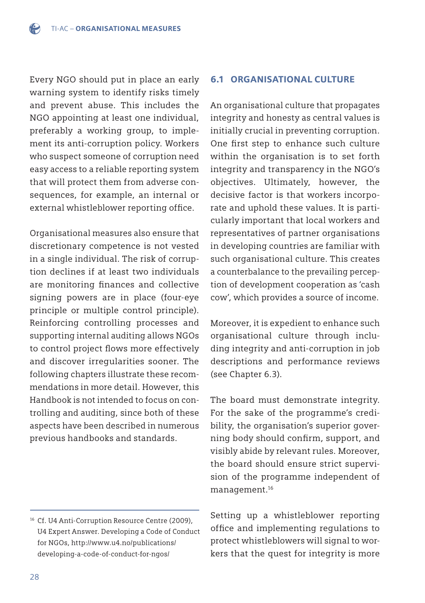Every NGO should put in place an early warning system to identify risks timely and prevent abuse. This includes the NGO appointing at least one individual, preferably a working group, to implement its anti-corruption policy. Workers who suspect someone of corruption need easy access to a reliable reporting system that will protect them from adverse consequences, for example, an internal or external whistleblower reporting office.

Organisational measures also ensure that discretionary competence is not vested in a single individual. The risk of corruption declines if at least two individuals are monitoring finances and collective signing powers are in place (four-eye principle or multiple control principle). Reinforcing controlling processes and supporting internal auditing allows NGOs to control project flows more effectively and discover irregularities sooner. The following chapters illustrate these recommendations in more detail. However, this Handbook is not intended to focus on controlling and auditing, since both of these aspects have been described in numerous previous handbooks and standards.

### 6.1 ORGANISATIONAL CULTURE

An organisational culture that propagates integrity and honesty as central values is initially crucial in preventing corruption. One first step to enhance such culture within the organisation is to set forth integrity and transparency in the NGO's objectives. Ultimately, however, the decisive factor is that workers incorporate and uphold these values. It is particularly important that local workers and representatives of partner organisations in developing countries are familiar with such organisational culture. This creates a counterbalance to the prevailing perception of development cooperation as 'cash cow', which provides a source of income.

Moreover, it is expedient to enhance such organisational culture through including integrity and anti-corruption in job descriptions and performance reviews (see Chapter 6.3).

The board must demonstrate integrity. For the sake of the programme's credibility, the organisation's superior governing body should confirm, support, and visibly abide by relevant rules. Moreover, the board should ensure strict supervision of the programme independent of management.16

Setting up a whistleblower reporting office and implementing regulations to protect whistleblowers will signal to workers that the quest for integrity is more

<sup>16</sup> Cf. U4 Anti-Corruption Resource Centre (2009), U4 Expert Answer. Developing a Code of Conduct [for NGOs, http://www.u4.no/publications/](http://www.u4.no/publications/developing-a-code-of-conduct-for-ngos/) developing-a-code-of-conduct-for-ngos/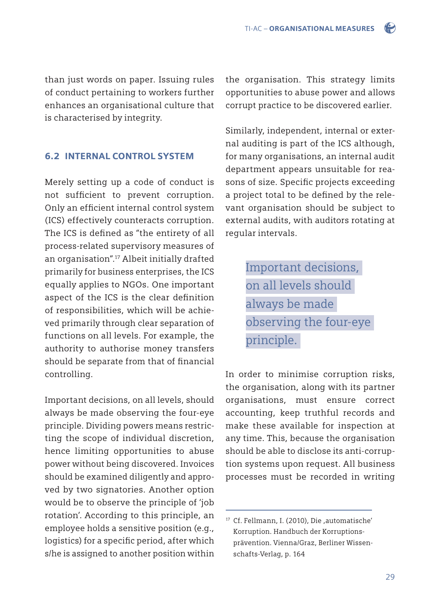than just words on paper. Issuing rules of conduct pertaining to workers further enhances an organisational culture that is characterised by integrity.

6.2 INTERNAL CONTROL SYSTEM

Merely setting up a code of conduct is not sufficient to prevent corruption. Only an efficient internal control system (ICS) effectively counteracts corruption. The ICS is defined as "the entirety of all process-related supervisory measures of an organisation".17 Albeit initially drafted primarily for business enterprises, the ICS equally applies to NGOs. One important aspect of the ICS is the clear definition of responsibilities, which will be achieved primarily through clear separation of functions on all levels. For example, the authority to authorise money transfers should be separate from that of financial controlling.

Important decisions, on all levels, should always be made observing the four-eye principle. Dividing powers means restricting the scope of individual discretion, hence limiting opportunities to abuse power without being discovered. Invoices should be examined diligently and approved by two signatories. Another option would be to observe the principle of 'job rotation'. According to this principle, an employee holds a sensitive position (e.g., logistics) for a specific period, after which s/he is assigned to another position within the organisation. This strategy limits opportunities to abuse power and allows corrupt practice to be discovered earlier.

Similarly, independent, internal or external auditing is part of the ICS although, for many organisations, an internal audit department appears unsuitable for reasons of size. Specific projects exceeding a project total to be defined by the relevant organisation should be subject to external audits, with auditors rotating at regular intervals.

> Important decisions, on all levels should always be made observing the four-eye principle.

In order to minimise corruption risks, the organisation, along with its partner organisations, must ensure correct accounting, keep truthful records and make these available for inspection at any time. This, because the organisation should be able to disclose its anti-corruption systems upon request. All business processes must be recorded in writing

<sup>17</sup> Cf. Fellmann, I. (2010), Die ,automatische' Korruption. Handbuch der Korruptions prävention. Vienna/Graz, Berliner Wissen schafts-Verlag, p. 164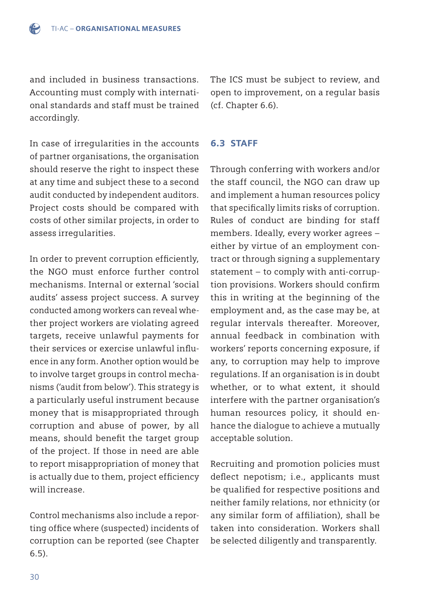and included in business transactions. Accounting must comply with international standards and staff must be trained accordingly.

The ICS must be subject to review, and open to improvement, on a regular basis (cf. Chapter 6.6).

# In case of irregularities in the accounts of partner organisations, the organisation should reserve the right to inspect these at any time and subject these to a second audit conducted by independent auditors. Project costs should be compared with costs of other similar projects, in order to assess irregularities.

In order to prevent corruption efficiently, the NGO must enforce further control mechanisms. Internal or external 'social audits' assess project success. A survey conducted among workers can reveal whether project workers are violating agreed targets, receive unlawful payments for their services or exercise unlawful influence in any form. Another option would be to involve target groups in control mechanisms ('audit from below'). This strategy is a particularly useful instrument because money that is misappropriated through corruption and abuse of power, by all means, should benefit the target group of the project. If those in need are able to report misappropriation of money that is actually due to them, project efficiency will increase.

Control mechanisms also include a reporting office where (suspected) incidents of corruption can be reported (see Chapter 6.5).

6.3 STAFF

Through conferring with workers and/or the staff council, the NGO can draw up and implement a human resources policy that specifically limits risks of corruption. Rules of conduct are binding for staff members. Ideally, every worker agrees – either by virtue of an employment contract or through signing a supplementary statement – to comply with anti-corruption provisions. Workers should confirm this in writing at the beginning of the employment and, as the case may be, at regular intervals thereafter. Moreover, annual feedback in combination with workers' reports concerning exposure, if any, to corruption may help to improve regulations. If an organisation is in doubt whether, or to what extent, it should interfere with the partner organisation's human resources policy, it should enhance the dialogue to achieve a mutually acceptable solution.

Recruiting and promotion policies must deflect nepotism; i.e., applicants must be qualified for respective positions and neither family relations, nor ethnicity (or any similar form of affiliation), shall be taken into consideration. Workers shall be selected diligently and transparently.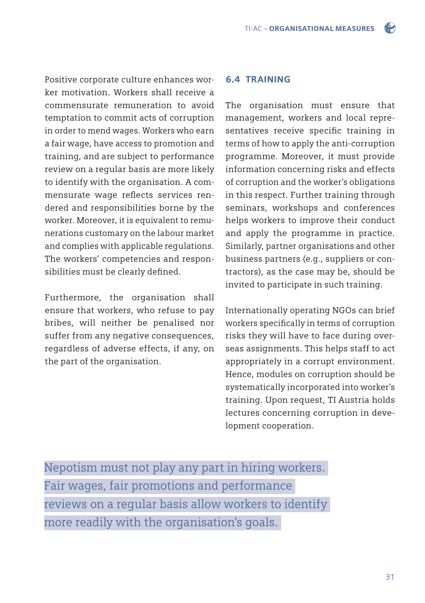Positive corporate culture enhances worker motivation. Workers shall receive a commensurate remuneration to avoid temptation to commit acts of corruption in order to mend wages. Workers who earn a fair wage, have access to promotion and training, and are subject to performance review on a regular basis are more likely to identify with the organisation. A commensurate wage reflects services rendered and responsibilities borne by the worker. Moreover, it is equivalent to remunerations customary on the labour market and complies with applicable regulations. The workers' competencies and responsibilities must be clearly defined.

Furthermore, the organisation shall ensure that workers, who refuse to pay bribes, will neither be penalised nor suffer from any negative consequences, regardless of adverse effects, if any, on the part of the organisation.

### 6.4 TRAINING

The organisation must ensure that management, workers and local representatives receive specific training in terms of how to apply the anti-corruption programme. Moreover, it must provide information concerning risks and effects of corruption and the worker's obligations in this respect. Further training through seminars, workshops and conferences helps workers to improve their conduct and apply the programme in practice. Similarly, partner organisations and other business partners (e.g., suppliers or contractors), as the case may be, should be invited to participate in such training.

Internationally operating NGOs can brief workers specifically in terms of corruption risks they will have to face during overseas assignments. This helps staff to act appropriately in a corrupt environment. Hence, modules on corruption should be systematically incorporated into worker's training. Upon request, TI Austria holds lectures concerning corruption in development cooperation.

Nepotism must not play any part in hiring workers. Fair wages, fair promotions and performance reviews on a regular basis allow workers to identify more readily with the organisation's goals.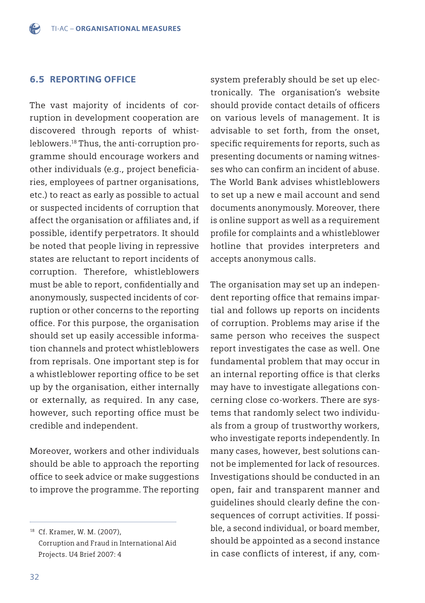### 6.5 REPORTING OFFICE

The vast majority of incidents of corruption in development cooperation are discovered through reports of whistleblowers.18 Thus, the anti-corruption programme should encourage workers and other individuals (e.g., project beneficiaries, employees of partner organisations, etc.) to react as early as possible to actual or suspected incidents of corruption that affect the organisation or affiliates and, if possible, identify perpetrators. It should be noted that people living in repressive states are reluctant to report incidents of corruption. Therefore, whistleblowers must be able to report, confidentially and anonymously, suspected incidents of corruption or other concerns to the reporting office. For this purpose, the organisation should set up easily accessible information channels and protect whistleblowers from reprisals. One important step is for a whistleblower reporting office to be set up by the organisation, either internally or externally, as required. In any case, however, such reporting office must be credible and independent.

Moreover, workers and other individuals should be able to approach the reporting office to seek advice or make suggestions to improve the programme. The reporting system preferably should be set up electronically. The organisation's website should provide contact details of officers on various levels of management. It is advisable to set forth, from the onset, specific requirements for reports, such as presenting documents or naming witnesses who can confirm an incident of abuse. The World Bank advises whistleblowers to set up a new e mail account and send documents anonymously. Moreover, there is online support as well as a requirement profile for complaints and a whistleblower hotline that provides interpreters and accepts anonymous calls.

The organisation may set up an independent reporting office that remains impartial and follows up reports on incidents of corruption. Problems may arise if the same person who receives the suspect report investigates the case as well. One fundamental problem that may occur in an internal reporting office is that clerks may have to investigate allegations concerning close co-workers. There are systems that randomly select two individuals from a group of trustworthy workers, who investigate reports independently. In many cases, however, best solutions cannot be implemented for lack of resources. Investigations should be conducted in an open, fair and transparent manner and guidelines should clearly define the consequences of corrupt activities. If possible, a second individual, or board member, should be appointed as a second instance in case conflicts of interest, if any, com-

<sup>18</sup> Cf. Kramer, W. M. (2007), Corruption and Fraud in International Aid Projects. U4 Brief 2007: 4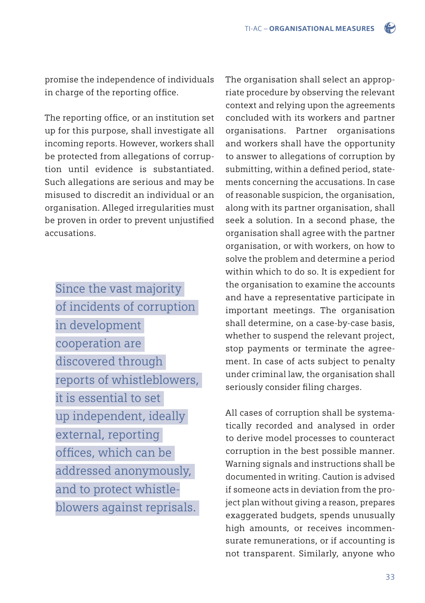promise the independence of individuals in charge of the reporting office.

The reporting office, or an institution set up for this purpose, shall investigate all incoming reports. However, workers shall be protected from allegations of corruption until evidence is substantiated. Such allegations are serious and may be misused to discredit an individual or an organisation. Alleged irregularities must be proven in order to prevent unjustified accusations.

Since the vast majority of incidents of corruption in development cooperation are discovered through reports of whistleblowers, it is essential to set up independent, ideally external, reporting offices, which can be addressed anonymously, and to protect whistleblowers against reprisals.

The organisation shall select an appropriate procedure by observing the relevant context and relying upon the agreements concluded with its workers and partner organisations. Partner organisations and workers shall have the opportunity to answer to allegations of corruption by submitting, within a defined period, statements concerning the accusations. In case of reasonable suspicion, the organisation, along with its partner organisation, shall seek a solution. In a second phase, the organisation shall agree with the partner organisation, or with workers, on how to solve the problem and determine a period within which to do so. It is expedient for the organisation to examine the accounts and have a representative participate in important meetings. The organisation shall determine, on a case-by-case basis, whether to suspend the relevant project, stop payments or terminate the agreement. In case of acts subject to penalty under criminal law, the organisation shall seriously consider filing charges.

All cases of corruption shall be systematically recorded and analysed in order to derive model processes to counteract corruption in the best possible manner. Warning signals and instructions shall be documented in writing. Caution is advised if someone acts in deviation from the project plan without giving a reason, prepares exaggerated budgets, spends unusually high amounts, or receives incommensurate remunerations, or if accounting is not transparent. Similarly, anyone who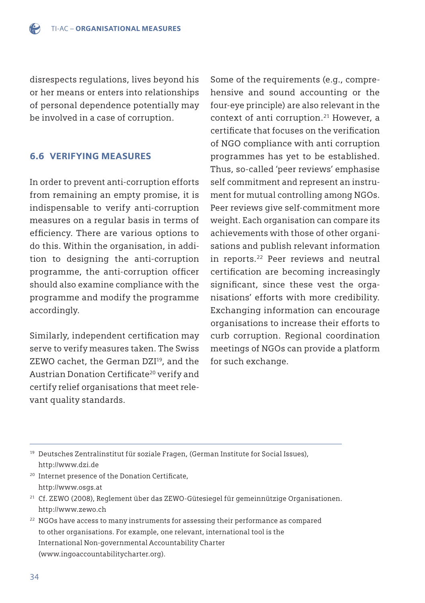disrespects regulations, lives beyond his or her means or enters into relationships of personal dependence potentially may be involved in a case of corruption.

### 6.6 VERIFYING MEASURES

In order to prevent anti-corruption efforts from remaining an empty promise, it is indispensable to verify anti-corruption measures on a regular basis in terms of efficiency. There are various options to do this. Within the organisation, in addition to designing the anti-corruption programme, the anti-corruption officer should also examine compliance with the programme and modify the programme accordingly.

Similarly, independent certification may serve to verify measures taken. The Swiss ZEWO cachet, the German DZI<sup>19</sup>, and the Austrian Donation Certificate<sup>20</sup> verify and certify relief organisations that meet relevant quality standards.

Some of the requirements (e.g., comprehensive and sound accounting or the four-eye principle) are also relevant in the context of anti corruption.<sup>21</sup> However, a certificate that focuses on the verification of NGO compliance with anti corruption programmes has yet to be established. Thus, so-called 'peer reviews' emphasise self commitment and represent an instrument for mutual controlling among NGOs. Peer reviews give self-commitment more weight. Each organisation can compare its achievements with those of other organisations and publish relevant information in reports.22 Peer reviews and neutral certification are becoming increasingly significant, since these vest the organisations' efforts with more credibility. Exchanging information can encourage organisations to increase their efforts to curb corruption. Regional coordination meetings of NGOs can provide a platform for such exchange.

19 Deutsches Zentralinstitut für soziale Fragen, (German Institute for Social Issues), http://www.dzi.de

<sup>20</sup> Internet presence of the Donation Certificate, http://www.osgs.at

21 Cf. ZEWO (2008), Reglement über das ZEWO-Gütesiegel für gemeinnützige Organisationen. http://www.zewo.ch

 $22$  NGOs have access to many instruments for assessing their performance as compared to other organisations. For example, one relevant, international tool is the International Non-governmental Accountability Charter (www.ingoaccountabilitycharter.org).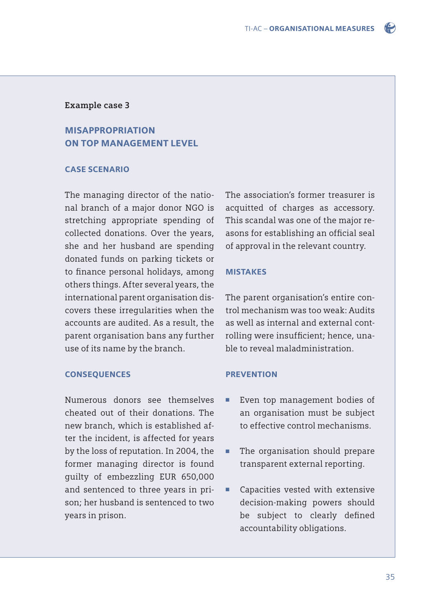

#### **Example case 3**

## MISAPPROPRIATION ON TOP MANAGEMENT LEVEL

#### CASE SCENARIO

The managing director of the national branch of a major donor NGO is stretching appropriate spending of collected donations. Over the years, she and her husband are spending donated funds on parking tickets or to finance personal holidays, among others things. After several years, the international parent organisation discovers these irregularities when the accounts are audited. As a result, the parent organisation bans any further use of its name by the branch.

#### CONSEQUENCES

Numerous donors see themselves cheated out of their donations. The new branch, which is established after the incident, is affected for years by the loss of reputation. In 2004, the former managing director is found guilty of embezzling EUR 650,000 and sentenced to three years in prison; her husband is sentenced to two years in prison.

The association's former treasurer is acquitted of charges as accessory. This scandal was one of the major reasons for establishing an official seal of approval in the relevant country.

#### MISTAKES

The parent organisation's entire control mechanism was too weak: Audits as well as internal and external controlling were insufficient; hence, unable to reveal maladministration.

#### **PREVENTION**

- Even top management bodies of an organisation must be subject to effective control mechanisms.
- The organisation should prepare transparent external reporting.
- Capacities vested with extensive decision-making powers should be subject to clearly defined accountability obligations.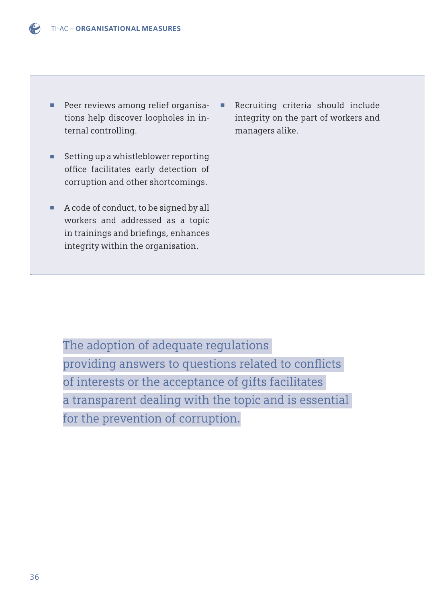- Peer reviews among relief organisa tions help discover loopholes in in ternal controlling.
- Setting up a whistleblower reporting office facilitates early detection of corruption and other shortcomings.
- A code of conduct, to be signed by all workers and addressed as a topic in trainings and briefings, enhances integrity within the organisation.

■ Recruiting criteria should include integrity on the part of workers and managers alike.

The adoption of adequate regulations providing answers to questions related to conflicts of interests or the acceptance of gifts facilitates a transparent dealing with the topic and is essential for the prevention of corruption.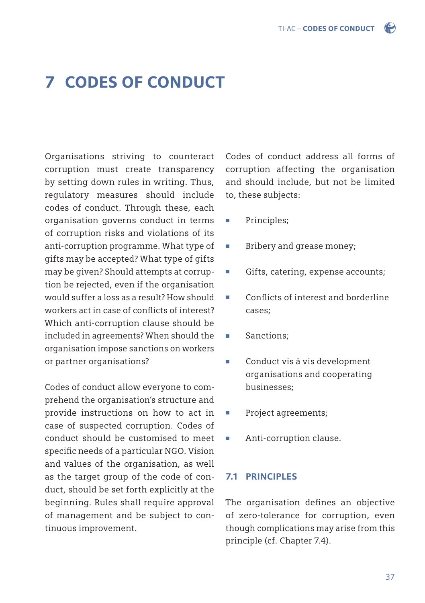

# 7 CODES OF CONDUCT

Organisations striving to counteract corruption must create transparency by setting down rules in writing. Thus, regulatory measures should include codes of conduct. Through these, each organisation governs conduct in terms of corruption risks and violations of its anti-corruption programme. What type of gifts may be accepted? What type of gifts may be given? Should attempts at corruption be rejected, even if the organisation would suffer a loss as a result? How should workers act in case of conflicts of interest? Which anti-corruption clause should be included in agreements? When should the organisation impose sanctions on workers or partner organisations?

Codes of conduct allow everyone to comprehend the organisation's structure and provide instructions on how to act in case of suspected corruption. Codes of conduct should be customised to meet specific needs of a particular NGO. Vision and values of the organisation, as well as the target group of the code of conduct, should be set forth explicitly at the beginning. Rules shall require approval of management and be subject to continuous improvement.

Codes of conduct address all forms of corruption affecting the organisation and should include, but not be limited to, these subjects:

- Principles;
- Bribery and grease money;
- Gifts, catering, expense accounts;
- Conflicts of interest and borderline cases;
- Sanctions:
- Conduct vis à vis development organisations and cooperating businesses;
- Project agreements;
- Anti-corruption clause.

#### 7.1 PRINCIPLES

The organisation defines an objective of zero-tolerance for corruption, even though complications may arise from this principle (cf. Chapter 7.4).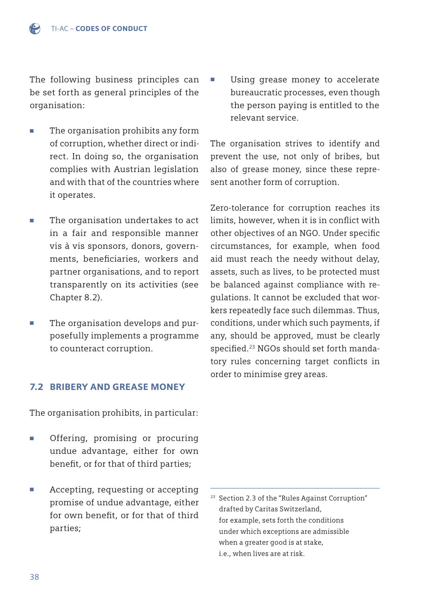The following business principles can be set forth as general principles of the organisation:

- The organisation prohibits any form of corruption, whether direct or indi rect. In doing so, the organisation complies with Austrian legislation and with that of the countries where it operates.
- The organisation undertakes to act in a fair and responsible manner vis à vis sponsors, donors, govern ments, beneficiaries, workers and partner organisations, and to report transparently on its activities (see Chapter 8.2).
- The organisation develops and pur posefully implements a programme to counteract corruption.

## 7.2 BRIBERY AND GREASE MONEY

The organisation prohibits, in particular:

- Offering, promising or procuring undue advantage, either for own benefit, or for that of third parties;
- Accepting, requesting or accepting promise of undue advantage, either for own benefit, or for that of third parties;

The organisation strives to identify and prevent the use, not only of bribes, but also of grease money, since these represent another form of corruption.

Zero-tolerance for corruption reaches its limits, however, when it is in conflict with other objectives of an NGO. Under specific circumstances, for example, when food aid must reach the needy without delay, assets, such as lives, to be protected must be balanced against compliance with regulations. It cannot be excluded that workers repeatedly face such dilemmas. Thus, conditions, under which such payments, if any, should be approved, must be clearly specified.<sup>23</sup> NGOs should set forth mandatory rules concerning target conflicts in order to minimise grey areas.

Using grease money to accelerate bureaucratic processes, even though the person paying is entitled to the relevant service.

<sup>&</sup>lt;sup>23</sup> Section 2.3 of the "Rules Against Corruption" drafted by Caritas Switzerland, for example, sets forth the conditions under which exceptions are admissible when a greater good is at stake. i.e., when lives are at risk.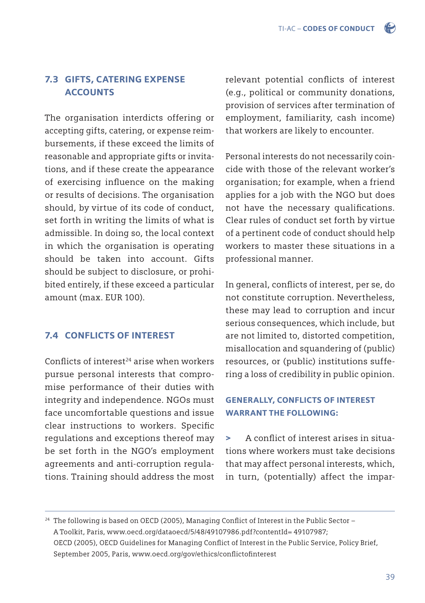## 7.3 GIFTS, CATERING EXPENSE ACCOUNTS

The organisation interdicts offering or accepting gifts, catering, or expense reimbursements, if these exceed the limits of reasonable and appropriate gifts or invitations, and if these create the appearance of exercising influence on the making or results of decisions. The organisation should, by virtue of its code of conduct, set forth in writing the limits of what is admissible. In doing so, the local context in which the organisation is operating should be taken into account. Gifts should be subject to disclosure, or prohibited entirely, if these exceed a particular amount (max. EUR 100).

## 7.4 CONFLICTS OF INTEREST

Conflicts of interest<sup>24</sup> arise when workers pursue personal interests that compromise performance of their duties with integrity and independence. NGOs must face uncomfortable questions and issue clear instructions to workers. Specific regulations and exceptions thereof may be set forth in the NGO's employment agreements and anti-corruption regulations. Training should address the most relevant potential conflicts of interest (e.g., political or community donations, provision of services after termination of employment, familiarity, cash income) that workers are likely to encounter.

Personal interests do not necessarily coincide with those of the relevant worker's organisation; for example, when a friend applies for a job with the NGO but does not have the necessary qualifications. Clear rules of conduct set forth by virtue of a pertinent code of conduct should help workers to master these situations in a professional manner.

In general, conflicts of interest, per se, do not constitute corruption. Nevertheless, these may lead to corruption and incur serious consequences, which include, but are not limited to, distorted competition, misallocation and squandering of (public) resources, or (public) institutions suffering a loss of credibility in public opinion.

## GENERALLY, CONFLICTS OF INTEREST WARRANT THE FOLLOWING:

> A conflict of interest arises in situations where workers must take decisions that may affect personal interests, which, in turn, (potentially) affect the impar-

 $24$  The following is based on OECD (2005), Managing Conflict of Interest in the Public Sector – A Toolkit, Paris[, www.oecd.org/dataoecd/5/48/49107986.pdf?contentId= 49107987;](http://www.oecd.org/governance/ethics/49107986.pdf)  OECD (2005), OECD Guidelines for Managing Conflict of Interest in the Public Service, Policy Brief, September 2005, Paris, www.oecd.org/gov/ethics/conflictofinterest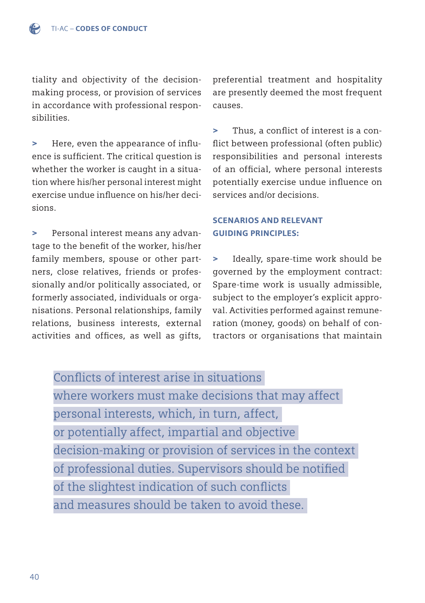tiality and objectivity of the decisionmaking process, or provision of services in accordance with professional responsibilities.

> Here, even the appearance of influence is sufficient. The critical question is whether the worker is caught in a situation where his/her personal interest might exercise undue influence on his/her decisions.

> Personal interest means any advantage to the benefit of the worker, his/her family members, spouse or other partners, close relatives, friends or professionally and/or politically associated, or formerly associated, individuals or organisations. Personal relationships, family relations, business interests, external activities and offices, as well as gifts,

preferential treatment and hospitality are presently deemed the most frequent causes.

> Thus, a conflict of interest is a conflict between professional (often public) responsibilities and personal interests of an official, where personal interests potentially exercise undue influence on services and/or decisions.

## SCENARIOS AND RELEVANT GUIDING PRINCIPLES:

Ideally, spare-time work should be governed by the employment contract: Spare-time work is usually admissible, subject to the employer's explicit approval. Activities performed against remuneration (money, goods) on behalf of contractors or organisations that maintain

Conflicts of interest arise in situations where workers must make decisions that may affect personal interests, which, in turn, affect, or potentially affect, impartial and objective decision-making or provision of services in the context of professional duties. Supervisors should be notified of the slightest indication of such conflicts and measures should be taken to avoid these.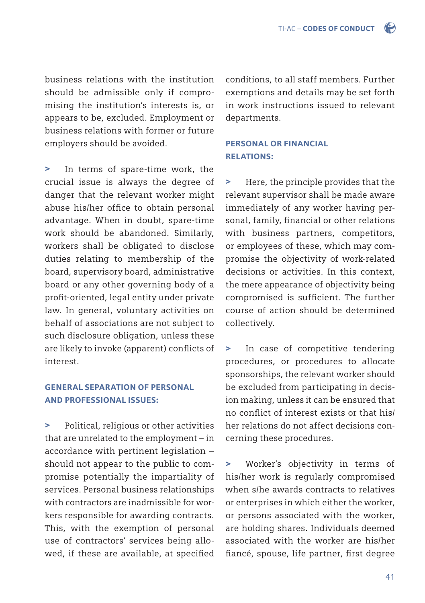business relations with the institution should be admissible only if compromising the institution's interests is, or appears to be, excluded. Employment or business relations with former or future employers should be avoided.

> In terms of spare-time work, the crucial issue is always the degree of danger that the relevant worker might abuse his/her office to obtain personal advantage. When in doubt, spare-time work should be abandoned. Similarly, workers shall be obligated to disclose duties relating to membership of the board, supervisory board, administrative board or any other governing body of a profit-oriented, legal entity under private law. In general, voluntary activities on behalf of associations are not subject to such disclosure obligation, unless these are likely to invoke (apparent) conflicts of interest.

## GENERAL SEPARATION OF PERSONAL AND PROFESSIONAL ISSUES:

> Political, religious or other activities that are unrelated to the employment – in accordance with pertinent legislation – should not appear to the public to compromise potentially the impartiality of services. Personal business relationships with contractors are inadmissible for workers responsible for awarding contracts. This, with the exemption of personal use of contractors' services being allowed, if these are available, at specified conditions, to all staff members. Further exemptions and details may be set forth in work instructions issued to relevant departments.

## PERSONAL OR FINANCIAL RELATIONS:

> Here, the principle provides that the relevant supervisor shall be made aware immediately of any worker having personal, family, financial or other relations with business partners, competitors, or employees of these, which may compromise the objectivity of work-related decisions or activities. In this context, the mere appearance of objectivity being compromised is sufficient. The further course of action should be determined collectively.

> In case of competitive tendering procedures, or procedures to allocate sponsorships, the relevant worker should be excluded from participating in decision making, unless it can be ensured that no conflict of interest exists or that his/ her relations do not affect decisions concerning these procedures.

> Worker's objectivity in terms of his/her work is regularly compromised when s/he awards contracts to relatives or enterprises in which either the worker, or persons associated with the worker, are holding shares. Individuals deemed associated with the worker are his/her fiancé, spouse, life partner, first degree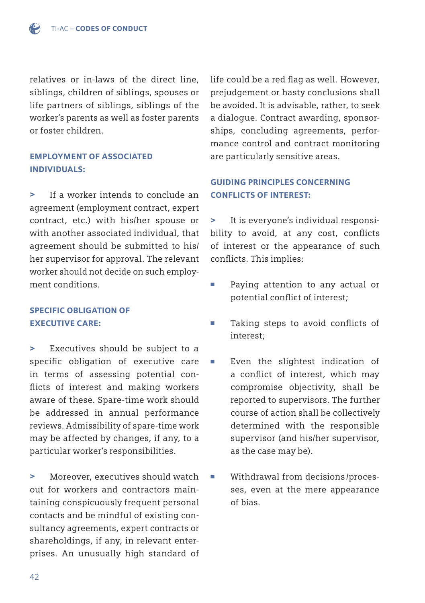relatives or in-laws of the direct line, siblings, children of siblings, spouses or life partners of siblings, siblings of the worker's parents as well as foster parents or foster children.

## EMPLOYMENT OF ASSOCIATED INDIVIDUALS:

> If a worker intends to conclude an agreement (employment contract, expert contract, etc.) with his/her spouse or with another associated individual, that agreement should be submitted to his/ her supervisor for approval. The relevant worker should not decide on such employment conditions.

## SPECIFIC OBLIGATION OF EXECUTIVE CARE:

> Executives should be subject to a specific obligation of executive care in terms of assessing potential conflicts of interest and making workers aware of these. Spare-time work should be addressed in annual performance reviews. Admissibility of spare-time work may be affected by changes, if any, to a particular worker's responsibilities.

> Moreover, executives should watch out for workers and contractors maintaining conspicuously frequent personal contacts and be mindful of existing consultancy agreements, expert contracts or shareholdings, if any, in relevant enterprises. An unusually high standard of life could be a red flag as well. However, prejudgement or hasty conclusions shall be avoided. It is advisable, rather, to seek a dialogue. Contract awarding, sponsorships, concluding agreements, performance control and contract monitoring are particularly sensitive areas.

## GUIDING PRINCIPLES CONCERNING CONFLICTS OF INTEREST:

> It is everyone's individual responsibility to avoid, at any cost, conflicts of interest or the appearance of such conflicts. This implies:

- Paying attention to any actual or potential conflict of interest;
- Taking steps to avoid conflicts of interest;
- Even the slightest indication of a conflict of interest, which may compromise objectivity, shall be reported to supervisors. The further course of action shall be collectively determined with the responsible supervisor (and his/her supervisor, as the case may be).
- Withdrawal from decisions/proces ses, even at the mere appearance of bias.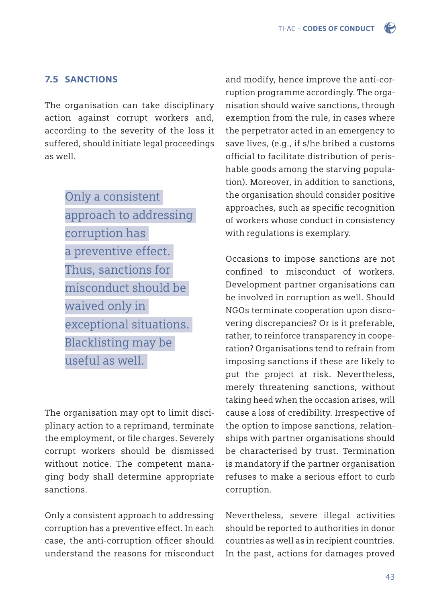## 7.5 SANCTIONS

The organisation can take disciplinary action against corrupt workers and, according to the severity of the loss it suffered, should initiate legal proceedings as well.

> Only a consistent approach to addressing corruption has a preventive effect. Thus, sanctions for misconduct should be waived only in exceptional situations. Blacklisting may be useful as well.

The organisation may opt to limit disciplinary action to a reprimand, terminate the employment, or file charges. Severely corrupt workers should be dismissed without notice. The competent managing body shall determine appropriate sanctions.

Only a consistent approach to addressing corruption has a preventive effect. In each case, the anti-corruption officer should understand the reasons for misconduct

and modify, hence improve the anti-corruption programme accordingly. The organisation should waive sanctions, through exemption from the rule, in cases where the perpetrator acted in an emergency to save lives, (e.g., if s/he bribed a customs official to facilitate distribution of perishable goods among the starving population). Moreover, in addition to sanctions, the organisation should consider positive approaches, such as specific recognition of workers whose conduct in consistency with regulations is exemplary.

Occasions to impose sanctions are not confined to misconduct of workers. Development partner organisations can be involved in corruption as well. Should NGOs terminate cooperation upon discovering discrepancies? Or is it preferable, rather, to reinforce transparency in cooperation? Organisations tend to refrain from imposing sanctions if these are likely to put the project at risk. Nevertheless, merely threatening sanctions, without taking heed when the occasion arises, will cause a loss of credibility. Irrespective of the option to impose sanctions, relationships with partner organisations should be characterised by trust. Termination is mandatory if the partner organisation refuses to make a serious effort to curb corruption.

Nevertheless, severe illegal activities should be reported to authorities in donor countries as well as in recipient countries. In the past, actions for damages proved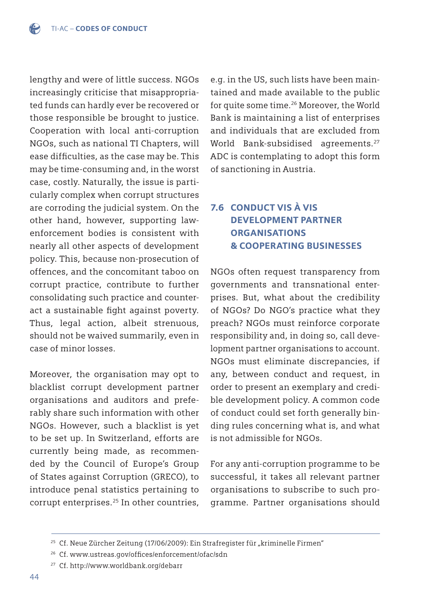lengthy and were of little success. NGOs increasingly criticise that misappropriated funds can hardly ever be recovered or those responsible be brought to justice. Cooperation with local anti-corruption NGOs, such as national TI Chapters, will ease difficulties, as the case may be. This may be time-consuming and, in the worst case, costly. Naturally, the issue is particularly complex when corrupt structures are corroding the judicial system. On the other hand, however, supporting lawenforcement bodies is consistent with nearly all other aspects of development policy. This, because non-prosecution of offences, and the concomitant taboo on corrupt practice, contribute to further consolidating such practice and counteract a sustainable fight against poverty. Thus, legal action, albeit strenuous, should not be waived summarily, even in case of minor losses.

Moreover, the organisation may opt to blacklist corrupt development partner organisations and auditors and preferably share such information with other NGOs. However, such a blacklist is yet to be set up. In Switzerland, efforts are currently being made, as recommended by the Council of Europe's Group of States against Corruption (GRECO), to introduce penal statistics pertaining to corrupt enterprises.25 In other countries, e.g. in the US, such lists have been maintained and made available to the public for quite some time.<sup>26</sup> Moreover, the World Bank is maintaining a list of enterprises and individuals that are excluded from World Bank-subsidised agreements.<sup>27</sup> ADC is contemplating to adopt this form of sanctioning in Austria.

# 7.6 CONDUCT VIS À VIS DEVELOPMENT PARTNER **ORGANISATIONS** & COOPERATING BUSINESSES

NGOs often request transparency from governments and transnational enterprises. But, what about the credibility of NGOs? Do NGO's practice what they preach? NGOs must reinforce corporate responsibility and, in doing so, call development partner organisations to account. NGOs must eliminate discrepancies, if any, between conduct and request, in order to present an exemplary and credible development policy. A common code of conduct could set forth generally binding rules concerning what is, and what is not admissible for NGOs.

For any anti-corruption programme to be successful, it takes all relevant partner organisations to subscribe to such programme. Partner organisations should

<sup>&</sup>lt;sup>25</sup> Cf. Neue Zürcher Zeitung (17/06/2009): Ein Strafregister für "kriminelle Firmen"

<sup>&</sup>lt;sup>26</sup> Cf. www.ustreas.gov/offices/enforcement/ofac/sdn

<sup>27</sup> Cf[. http://www.worldbank.org/debarr](http://www.ustreas.gov/offices/enforcement/ofac/sdn)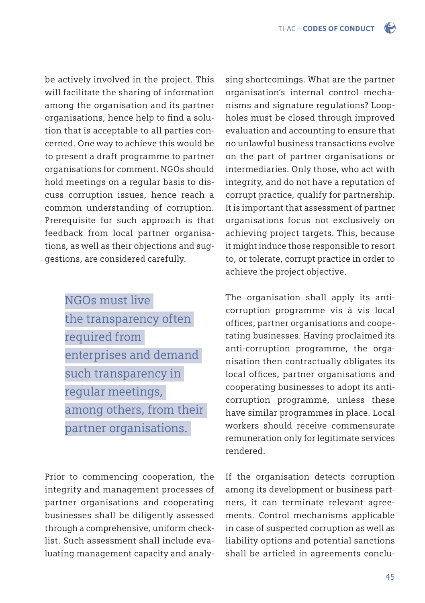be actively involved in the project. This will facilitate the sharing of information among the organisation and its partner organisations, hence help to find a solution that is acceptable to all parties concerned. One way to achieve this would be to present a draft programme to partner organisations for comment. NGOs should hold meetings on a regular basis to discuss corruption issues, hence reach a common understanding of corruption. Prerequisite for such approach is that feedback from local partner organisations, as well as their objections and suggestions, are considered carefully.

> NGOs must live the transparency often required from enterprises and demand such transparency in regular meetings, among others, from their partner organisations.

Prior to commencing cooperation, the integrity and management processes of partner organisations and cooperating businesses shall be diligently assessed through a comprehensive, uniform checklist. Such assessment shall include evaluating management capacity and analysing shortcomings. What are the partner organisation's internal control mechanisms and signature regulations? Loopholes must be closed through improved evaluation and accounting to ensure that no unlawful business transactions evolve on the part of partner organisations or intermediaries. Only those, who act with integrity, and do not have a reputation of corrupt practice, qualify for partnership. It is important that assessment of partner organisations focus not exclusively on achieving project targets. This, because it might induce those responsible to resort to, or tolerate, corrupt practice in order to achieve the project objective.

The organisation shall apply its anticorruption programme vis à vis local offices, partner organisations and cooperating businesses. Having proclaimed its anti-corruption programme, the organisation then contractually obligates its local offices, partner organisations and cooperating businesses to adopt its anticorruption programme, unless these have similar programmes in place. Local workers should receive commensurate remuneration only for legitimate services rendered.

If the organisation detects corruption among its development or business partners, it can terminate relevant agreements. Control mechanisms applicable in case of suspected corruption as well as liability options and potential sanctions shall be articled in agreements conclu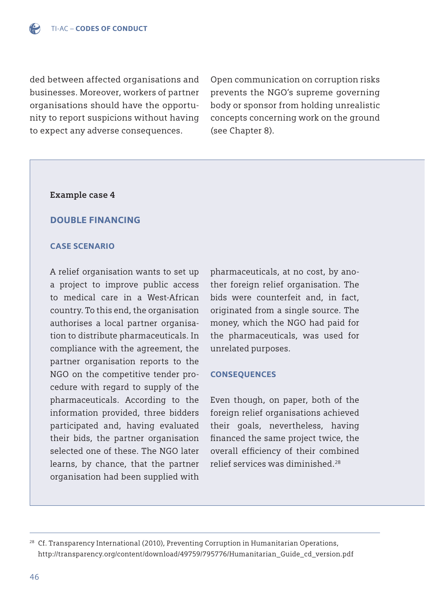ded between affected organisations and businesses. Moreover, workers of partner organisations should have the opportunity to report suspicions without having to expect any adverse consequences.

Open communication on corruption risks prevents the NGO's supreme governing body or sponsor from holding unrealistic concepts concerning work on the ground (see Chapter 8).

#### **Example case 4**

### DOUBLE FINANCING

#### CASE SCENARIO

A relief organisation wants to set up a project to improve public access to medical care in a West-African country. To this end, the organisation authorises a local partner organisation to distribute pharmaceuticals. In compliance with the agreement, the partner organisation reports to the NGO on the competitive tender procedure with regard to supply of the pharmaceuticals. According to the information provided, three bidders participated and, having evaluated their bids, the partner organisation selected one of these. The NGO later learns, by chance, that the partner organisation had been supplied with

pharmaceuticals, at no cost, by another foreign relief organisation. The bids were counterfeit and, in fact, originated from a single source. The money, which the NGO had paid for the pharmaceuticals, was used for unrelated purposes.

#### **CONSEQUENCES**

Even though, on paper, both of the foreign relief organisations achieved their goals, nevertheless, having financed the same project twice, the overall efficiency of their combined relief services was diminished.28

 $28$  Cf. Transparency International (2010), Preventing Corruption in Humanitarian Operations, http://transparency.org/content/download/49759/795776/Humanitarian\_Guide\_cd\_version.pdf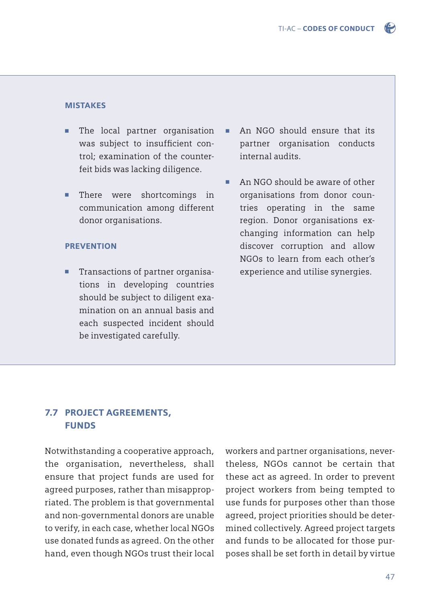

#### MISTAKES

- The local partner organisation was subject to insufficient con trol; examination of the counter feit bids was lacking diligence.
- There were shortcomings in communication among different donor organisations.

#### **PREVENTION**

■ Transactions of partner organisa tions in developing countries should be subject to diligent exa mination on an annual basis and each suspected incident should be investigated carefully.

- An NGO should ensure that its partner organisation conducts internal audits.
- An NGO should be aware of other organisations from donor coun tries operating in the same region. Donor organisations ex changing information can help discover corruption and allow NGOs to learn from each other's experience and utilise synergies.

## 7.7 PROJECT AGREEMENTS, **FUNDS**

Notwithstanding a cooperative approach, the organisation, nevertheless, shall ensure that project funds are used for agreed purposes, rather than misappropriated. The problem is that governmental and non-governmental donors are unable to verify, in each case, whether local NGOs use donated funds as agreed. On the other hand, even though NGOs trust their local workers and partner organisations, nevertheless, NGOs cannot be certain that these act as agreed. In order to prevent project workers from being tempted to use funds for purposes other than those agreed, project priorities should be determined collectively. Agreed project targets and funds to be allocated for those purposes shall be set forth in detail by virtue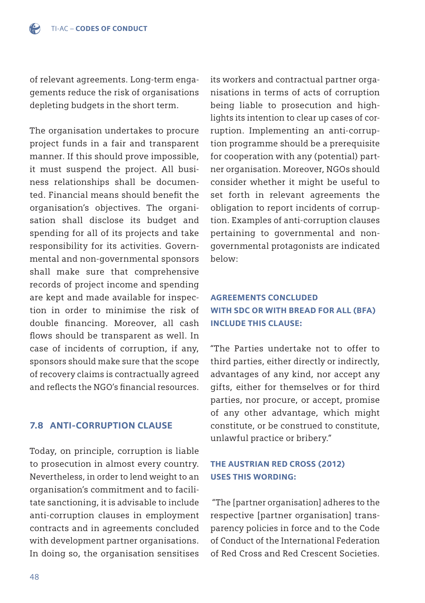of relevant agreements. Long-term engagements reduce the risk of organisations depleting budgets in the short term.

The organisation undertakes to procure project funds in a fair and transparent manner. If this should prove impossible, it must suspend the project. All business relationships shall be documented. Financial means should benefit the organisation's objectives. The organisation shall disclose its budget and spending for all of its projects and take responsibility for its activities. Governmental and non-governmental sponsors shall make sure that comprehensive records of project income and spending are kept and made available for inspection in order to minimise the risk of double financing. Moreover, all cash flows should be transparent as well. In case of incidents of corruption, if any, sponsors should make sure that the scope of recovery claims is contractually agreed and reflects the  $NGO's$  financial resources.

### 7.8 ANTI-CORRUPTION CLAUSE

Today, on principle, corruption is liable to prosecution in almost every country. Nevertheless, in order to lend weight to an organisation's commitment and to facilitate sanctioning, it is advisable to include anti-corruption clauses in employment contracts and in agreements concluded with development partner organisations. In doing so, the organisation sensitises

its workers and contractual partner organisations in terms of acts of corruption being liable to prosecution and highlights its intention to clear up cases of corruption. Implementing an anti-corruption programme should be a prerequisite for cooperation with any (potential) partner organisation. Moreover, NGOs should consider whether it might be useful to set forth in relevant agreements the obligation to report incidents of corruption. Examples of anti-corruption clauses pertaining to governmental and nongovernmental protagonists are indicated below:

## AGREEMENTS CONCLUDED WITH SDC OR WITH BREAD FOR ALL (BFA) INCLUDE THIS CLAUSE:

"The Parties undertake not to offer to third parties, either directly or indirectly, advantages of any kind, nor accept any gifts, either for themselves or for third parties, nor procure, or accept, promise of any other advantage, which might constitute, or be construed to constitute, unlawful practice or bribery."

## THE AUSTRIAN RED CROSS (2012) USES THIS WORDING:

 "The [partner organisation] adheres to the respective [partner organisation] transparency policies in force and to the Code of Conduct of the International Federation of Red Cross and Red Crescent Societies.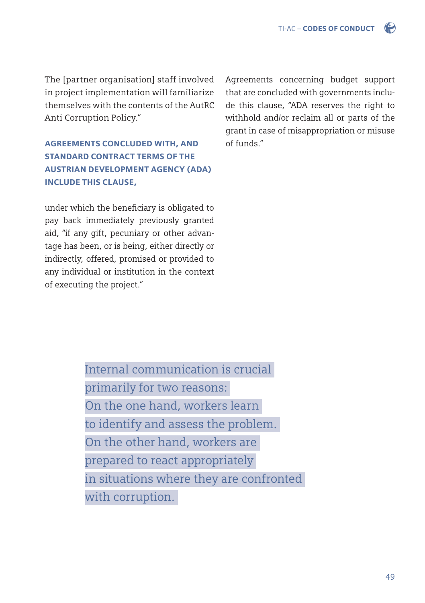The [partner organisation] staff involved in project implementation will familiarize themselves with the contents of the AutRC Anti Corruption Policy."

AGREEMENTS CONCLUDED WITH, AND STANDARD CONTRACT TERMS OF THE AUSTRIAN DEVELOPMENT AGENCY (ADA) INCLUDE THIS CLAUSE,

under which the beneficiary is obligated to pay back immediately previously granted aid, "if any gift, pecuniary or other advantage has been, or is being, either directly or indirectly, offered, promised or provided to any individual or institution in the context of executing the project."

Agreements concerning budget support that are concluded with governments include this clause, "ADA reserves the right to withhold and/or reclaim all or parts of the grant in case of misappropriation or misuse of funds."

Internal communication is crucial primarily for two reasons: On the one hand, workers learn to identify and assess the problem. On the other hand, workers are prepared to react appropriately in situations where they are confronted with corruption.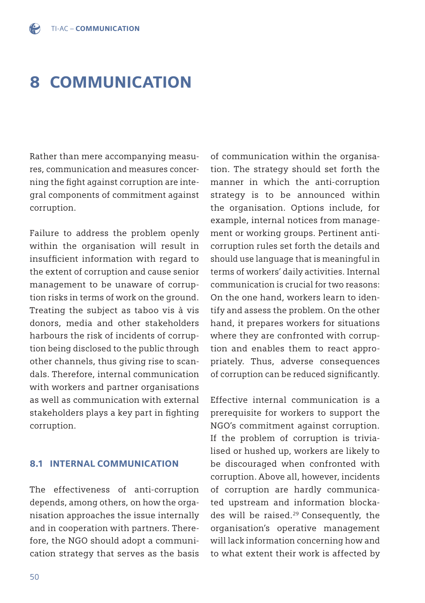# 8 COMMUNICATION

Rather than mere accompanying measures, communication and measures concerning the fight against corruption are integral components of commitment against corruption.

Failure to address the problem openly within the organisation will result in insufficient information with regard to the extent of corruption and cause senior management to be unaware of corruption risks in terms of work on the ground. Treating the subject as taboo vis à vis donors, media and other stakeholders harbours the risk of incidents of corruption being disclosed to the public through other channels, thus giving rise to scandals. Therefore, internal communication with workers and partner organisations as well as communication with external stakeholders plays a key part in fighting corruption.

#### 8.1 INTERNAL COMMUNICATION

The effectiveness of anti-corruption depends, among others, on how the organisation approaches the issue internally and in cooperation with partners. Therefore, the NGO should adopt a communication strategy that serves as the basis of communication within the organisation. The strategy should set forth the manner in which the anti-corruption strategy is to be announced within the organisation. Options include, for example, internal notices from management or working groups. Pertinent anticorruption rules set forth the details and should use language that is meaningful in terms of workers' daily activities. Internal communication is crucial for two reasons: On the one hand, workers learn to identify and assess the problem. On the other hand, it prepares workers for situations where they are confronted with corruption and enables them to react appropriately. Thus, adverse consequences of corruption can be reduced significantly.

Effective internal communication is a prerequisite for workers to support the NGO's commitment against corruption. If the problem of corruption is trivialised or hushed up, workers are likely to be discouraged when confronted with corruption. Above all, however, incidents of corruption are hardly communicated upstream and information blockades will be raised.29 Consequently, the organisation's operative management will lack information concerning how and to what extent their work is affected by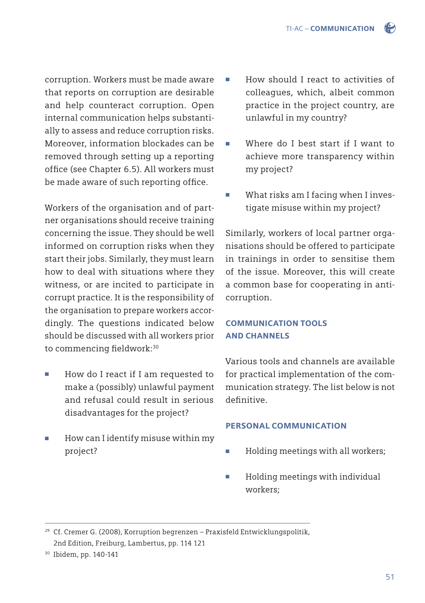corruption. Workers must be made aware that reports on corruption are desirable and help counteract corruption. Open internal communication helps substantially to assess and reduce corruption risks. Moreover, information blockades can be removed through setting up a reporting office (see Chapter 6.5). All workers must be made aware of such reporting office.

Workers of the organisation and of partner organisations should receive training concerning the issue. They should be well informed on corruption risks when they start their jobs. Similarly, they must learn how to deal with situations where they witness, or are incited to participate in corrupt practice. It is the responsibility of the organisation to prepare workers accordingly. The questions indicated below should be discussed with all workers prior to commencing fieldwork:<sup>30</sup>

- How do I react if I am requested to make a (possibly) unlawful payment and refusal could result in serious disadvantages for the project?
- How can I identify misuse within my project?
- How should I react to activities of colleagues, which, albeit common practice in the project country, are unlawful in my country?
- Where do I best start if I want to achieve more transparency within my project?
- What risks am I facing when I investigate misuse within my project?

Similarly, workers of local partner organisations should be offered to participate in trainings in order to sensitise them of the issue. Moreover, this will create a common base for cooperating in anticorruption.

## COMMUNICATION TOOLS AND CHANNELS

Various tools and channels are available for practical implementation of the communication strategy. The list below is not definitive.

### PERSONAL COMMUNICATION

- Holding meetings with all workers;
- Holding meetings with individual workers;

 $29$  Cf. Cremer G. (2008), Korruption begrenzen – Praxisfeld Entwicklungspolitik, 2nd Edition, Freiburg, Lambertus, pp. 114 121

<sup>30</sup> Ibidem, pp. 140-141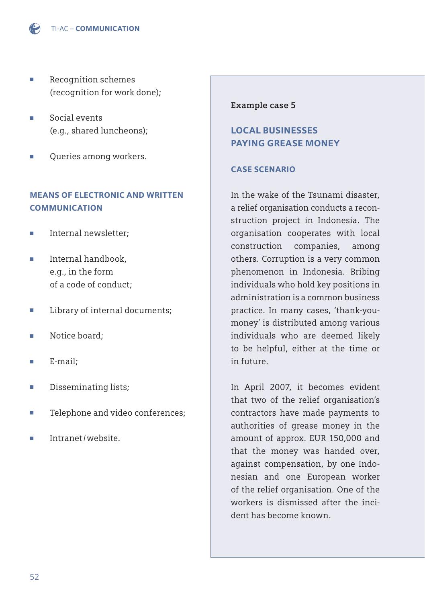

- Recognition schemes (recognition for work done);
- Social events (e.g., shared luncheons);
- Queries among workers.

## MEANS OF ELECTRONIC AND WRITTEN COMMUNICATION

- Internal newsletter:
- Internal handbook, e.g., in the form of a code of conduct;
- Library of internal documents;
- Notice board:
- E-mail;
- Disseminating lists;
- Telephone and video conferences;
- Intranet/website.

#### **Example case 5**

## LOCAL BUSINESSES PAYING GREASE MONEY

#### CASE SCENARIO

In the wake of the Tsunami disaster, a relief organisation conducts a reconstruction project in Indonesia. The organisation cooperates with local construction companies, among others. Corruption is a very common phenomenon in Indonesia. Bribing individuals who hold key positions in administration is a common business practice. In many cases, 'thank-youmoney' is distributed among various individuals who are deemed likely to be helpful, either at the time or in future.

In April 2007, it becomes evident that two of the relief organisation's contractors have made payments to authorities of grease money in the amount of approx. EUR 150,000 and that the money was handed over, against compensation, by one Indonesian and one European worker of the relief organisation. One of the workers is dismissed after the incident has become known.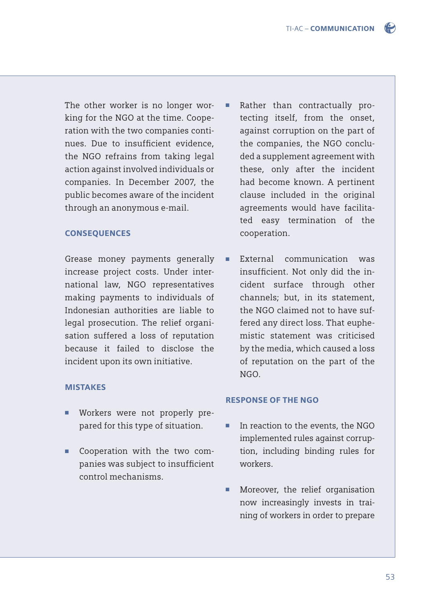The other worker is no longer working for the NGO at the time. Cooperation with the two companies continues. Due to insufficient evidence, the NGO refrains from taking legal action against involved individuals or companies. In December 2007, the public becomes aware of the incident through an anonymous e-mail.

#### **CONSEQUENCES**

Grease money payments generally increase project costs. Under international law, NGO representatives making payments to individuals of Indonesian authorities are liable to legal prosecution. The relief organisation suffered a loss of reputation because it failed to disclose the incident upon its own initiative.

#### **MISTAKES**

- Workers were not properly pre pared for this type of situation.
- Cooperation with the two companies was subject to insufficient control mechanisms.
- Rather than contractually pro tecting itself, from the onset, against corruption on the part of the companies, the NGO conclu ded a supplement agreement with these, only after the incident had become known. A pertinent clause included in the original agreements would have facilita ted easy termination of the cooperation.
- External communication was insufficient. Not only did the in cident surface through other channels; but, in its statement, the NGO claimed not to have suf fered any direct loss. That euphe mistic statement was criticised by the media, which caused a loss of reputation on the part of the NGO.

#### RESPONSE OF THE NGO

- In reaction to the events, the NGO implemented rules against corrup tion, including binding rules for workers.
- Moreover, the relief organisation now increasingly invests in trai ning of workers in order to prepare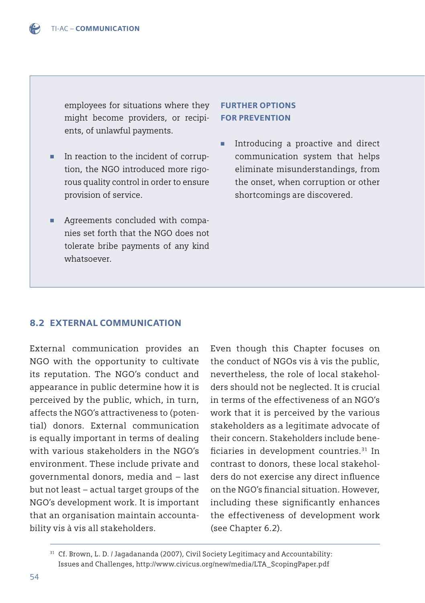employees for situations where they might become providers, or recipi ents, of unlawful payments.

- In reaction to the incident of corrup tion, the NGO introduced more rigo rous quality control in order to ensure provision of service.
- Agreements concluded with compa nies set forth that the NGO does not tolerate bribe payments of any kind whatsoever.

## FURTHER OPTIONS FOR PREVENTION

■ Introducing a proactive and direct communication system that helps eliminate misunderstandings, from the onset, when corruption or other shortcomings are discovered.

## 8.2 EXTERNAL COMMUNICATION

External communication provides an NGO with the opportunity to cultivate its reputation. The NGO's conduct and appearance in public determine how it is perceived by the public, which, in turn, affects the NGO's attractiveness to (potential) donors. External communication is equally important in terms of dealing with various stakeholders in the NGO's environment. These include private and governmental donors, media and – last but not least – actual target groups of the NGO's development work. It is important that an organisation maintain accountability vis à vis all stakeholders.

Even though this Chapter focuses on the conduct of NGOs vis à vis the public, nevertheless, the role of local stakeholders should not be neglected. It is crucial in terms of the effectiveness of an NGO's work that it is perceived by the various stakeholders as a legitimate advocate of their concern. Stakeholders include beneficiaries in development countries. $31$  In contrast to donors, these local stakeholders do not exercise any direct influence on the NGO's financial situation. However, including these significantly enhances the effectiveness of development work (see Chapter 6.2).

<sup>&</sup>lt;sup>31</sup> Cf. Brown, L. D. / Jagadananda (2007), Civil Society Legitimacy and Accountability: Issues and Challenges, http://www.civicus.org/new/media/LTA\_ScopingPaper.pdf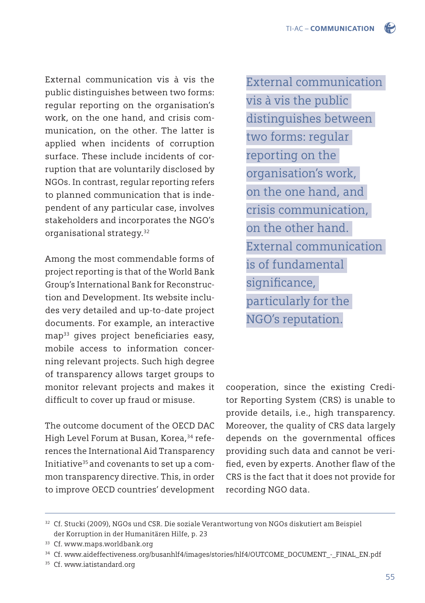External communication vis à vis the public distinguishes between two forms: regular reporting on the organisation's work, on the one hand, and crisis communication, on the other. The latter is applied when incidents of corruption surface. These include incidents of corruption that are voluntarily disclosed by NGOs. In contrast, regular reporting refers to planned communication that is independent of any particular case, involves stakeholders and incorporates the NGO's organisational strategy.32

Among the most commendable forms of project reporting is that of the World Bank Group's International Bank for Reconstruction and Development. Its website includes very detailed and up-to-date project documents. For example, an interactive map<sup>33</sup> gives project beneficiaries easy, mobile access to information concerning relevant projects. Such high degree of transparency allows target groups to monitor relevant projects and makes it difficult to cover up fraud or misuse.

The outcome document of the OECD DAC High Level Forum at Busan, Korea,<sup>34</sup> references the International Aid Transparency Initiative<sup>35</sup> and covenants to set up a common transparency directive. This, in order to improve OECD countries' development

External communication vis à vis the public distinguishes between two forms: regular reporting on the organisation's work, on the one hand, and crisis communication, on the other hand. External communication is of fundamental significance, particularly for the NGO's reputation.

cooperation, since the existing Creditor Reporting System (CRS) is unable to provide details, i.e., high transparency. Moreover, the quality of CRS data largely depends on the governmental offices providing such data and cannot be verified, even by experts. Another flaw of the CRS is the fact that it does not provide for recording NGO data.

<sup>35</sup> Cf. www.iatistandard.org

<sup>32</sup> Cf. Stucki (2009), NGOs und CSR. Die soziale Verantwortung von NGOs diskutiert am Beispiel der Korruption in der Humanitären Hilfe, p. 23

<sup>&</sup>lt;sup>33</sup> Cf. www.maps.worldbank.org

<sup>34</sup> Cf. www.aideffectiveness.org/busanhlf4/images/stories/hlf4/OUTCOME\_DOCUMENT\_-\_FINAL\_EN.pdf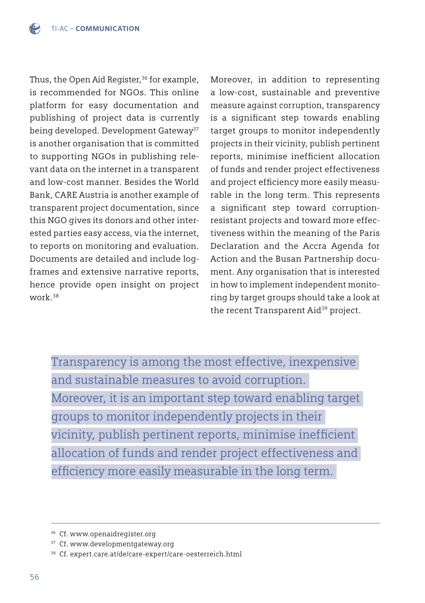Thus, the Open Aid Register,<sup>36</sup> for example, is recommended for NGOs. This online platform for easy documentation and publishing of project data is currently being developed. Development Gateway<sup>37</sup> is another organisation that is committed to supporting NGOs in publishing relevant data on the internet in a transparent and low-cost manner. Besides the World Bank, CARE Austria is another example of transparent project documentation, since this NGO gives its donors and other interested parties easy access, via the internet, to reports on monitoring and evaluation. Documents are detailed and include logframes and extensive narrative reports, hence provide open insight on project work.38

Moreover, in addition to representing a low-cost, sustainable and preventive measure against corruption, transparency is a significant step towards enabling target groups to monitor independently projects in their vicinity, publish pertinent reports, minimise inefficient allocation of funds and render project effectiveness and project efficiency more easily measurable in the long term. This represents a significant step toward corruptionresistant projects and toward more effectiveness within the meaning of the Paris Declaration and the Accra Agenda for Action and the Busan Partnership document. Any organisation that is interested in how to implement independent monitoring by target groups should take a look at the recent Transparent Aid<sup>39</sup> project.

Transparency is among the most effective, inexpensive and sustainable measures to avoid corruption. Moreover, it is an important step toward enabling target groups to monitor independently projects in their vicinity, publish pertinent reports, minimise inefficient allocation of funds and render project effectiveness and efficiency more easily measurable in the long term.

<sup>36</sup> Cf. www.openaidregister.org

<sup>&</sup>lt;sup>37</sup> Cf. www.developmentgateway.org

<sup>38</sup> Cf. [expert.care.at/de/care-expert/care-oesterreich.html](http://expert.care.at/de/care-expert/care-oesterreich.html)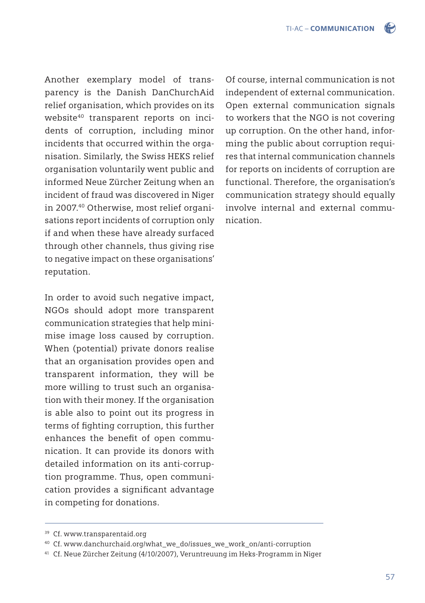Another exemplary model of transparency is the Danish DanChurchAid relief organisation, which provides on its website<sup>40</sup> transparent reports on incidents of corruption, including minor incidents that occurred within the organisation. Similarly, the Swiss HEKS relief organisation voluntarily went public and informed Neue Zürcher Zeitung when an incident of fraud was discovered in Niger in 2007.40 Otherwise, most relief organisations report incidents of corruption only if and when these have already surfaced through other channels, thus giving rise to negative impact on these organisations' reputation.

In order to avoid such negative impact, NGOs should adopt more transparent communication strategies that help minimise image loss caused by corruption. When (potential) private donors realise that an organisation provides open and transparent information, they will be more willing to trust such an organisation with their money. If the organisation is able also to point out its progress in terms of fighting corruption, this further enhances the benefit of open communication. It can provide its donors with detailed information on its anti-corruption programme. Thus, open communication provides a significant advantage in competing for donations.

Of course, internal communication is not independent of external communication. Open external communication signals to workers that the NGO is not covering up corruption. On the other hand, informing the public about corruption requires that internal communication channels for reports on incidents of corruption are functional. Therefore, the organisation's communication strategy should equally involve internal and external communication.

<sup>39</sup> Cf. www.transparentaid.org

<sup>&</sup>lt;sup>40</sup> Cf. www.danchurchaid.org/what\_we\_do/issues\_we\_work\_on/anti-corruption

<sup>41</sup> Cf. Neue Zürcher Zeitung (4/10/2007), Veruntreuung im Heks-Programm in Niger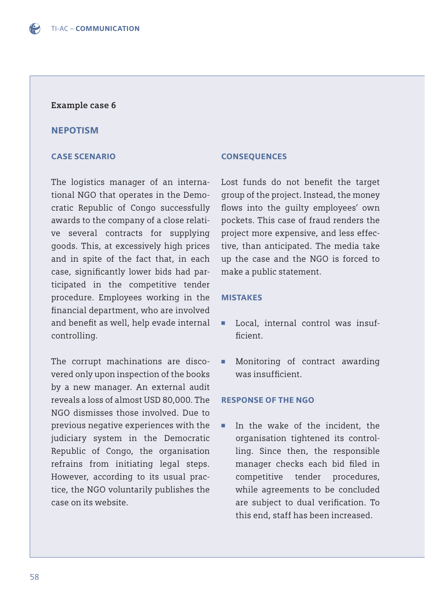#### **Example case 6**

#### NEPOTISM

#### CASE SCENARIO

The logistics manager of an international NGO that operates in the Democratic Republic of Congo successfully awards to the company of a close relative several contracts for supplying goods. This, at excessively high prices and in spite of the fact that, in each case, significantly lower bids had participated in the competitive tender procedure. Employees working in the financial department, who are involved and benefit as well, help evade internal controlling.

The corrupt machinations are discovered only upon inspection of the books by a new manager. An external audit reveals a loss of almost USD 80,000. The NGO dismisses those involved. Due to previous negative experiences with the judiciary system in the Democratic Republic of Congo, the organisation refrains from initiating legal steps. However, according to its usual practice, the NGO voluntarily publishes the case on its website.

#### **CONSEQUENCES**

Lost funds do not benefit the target group of the project. Instead, the money flows into the quilty employees' own pockets. This case of fraud renders the project more expensive, and less effective, than anticipated. The media take up the case and the NGO is forced to make a public statement.

#### MISTAKES

- Local, internal control was insufficient
- Monitoring of contract awarding was insufficient.

#### RESPONSE OF THE NGO

■ In the wake of the incident, the organisation tightened its control ling. Since then, the responsible manager checks each bid filed in competitive tender procedures, while agreements to be concluded are subject to dual verification. To this end, staff has been increased.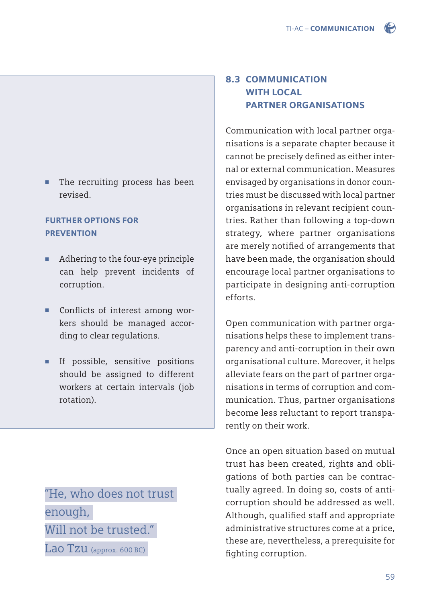

# FURTHER OPTIONS FOR **PREVENTION**

- Adhering to the four-eye principle can help prevent incidents of corruption.
- Conflicts of interest among wor kers should be managed accor ding to clear regulations.
- If possible, sensitive positions should be assigned to different workers at certain intervals (job rotation).

"He, who does not trust enough, Will not be trusted."

 $Lao Tzu$  (approx. 600 BC)

# 8.3 COMMUNICATION WITH LOCAL PARTNER ORGANISATIONS

Communication with local partner organisations is a separate chapter because it cannot be precisely defined as either internal or external communication. Measures envisaged by organisations in donor countries must be discussed with local partner organisations in relevant recipient countries. Rather than following a top-down strategy, where partner organisations are merely notified of arrangements that have been made, the organisation should encourage local partner organisations to participate in designing anti-corruption efforts.

Open communication with partner organisations helps these to implement transparency and anti-corruption in their own organisational culture. Moreover, it helps alleviate fears on the part of partner organisations in terms of corruption and communication. Thus, partner organisations become less reluctant to report transparently on their work.

Once an open situation based on mutual trust has been created, rights and obligations of both parties can be contractually agreed. In doing so, costs of anticorruption should be addressed as well. Although, qualified staff and appropriate administrative structures come at a price, these are, nevertheless, a prerequisite for fighting corruption.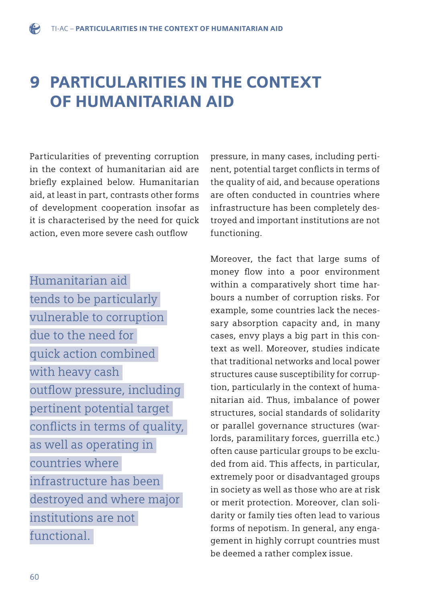# 9 PARTICULARITIES IN THE CONTEXT OF HUMANITARIAN AID

Particularities of preventing corruption in the context of humanitarian aid are briefly explained below. Humanitarian aid, at least in part, contrasts other forms of development cooperation insofar as it is characterised by the need for quick action, even more severe cash outflow

Humanitarian aid tends to be particularly vulnerable to corruption due to the need for quick action combined with heavy cash outflow pressure, including pertinent potential target conflicts in terms of quality, as well as operating in countries where infrastructure has been destroyed and where major institutions are not functional.

pressure, in many cases, including pertinent, potential target conflicts in terms of the quality of aid, and because operations are often conducted in countries where infrastructure has been completely destroyed and important institutions are not functioning.

Moreover, the fact that large sums of money flow into a poor environment within a comparatively short time harbours a number of corruption risks. For example, some countries lack the necessary absorption capacity and, in many cases, envy plays a big part in this context as well. Moreover, studies indicate that traditional networks and local power structures cause susceptibility for corruption, particularly in the context of humanitarian aid. Thus, imbalance of power structures, social standards of solidarity or parallel governance structures (warlords, paramilitary forces, guerrilla etc.) often cause particular groups to be excluded from aid. This affects, in particular, extremely poor or disadvantaged groups in society as well as those who are at risk or merit protection. Moreover, clan solidarity or family ties often lead to various forms of nepotism. In general, any engagement in highly corrupt countries must be deemed a rather complex issue.

 $\bigodot$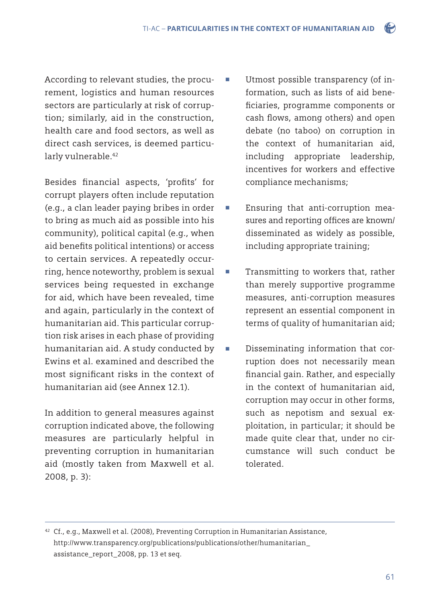According to relevant studies, the procurement, logistics and human resources sectors are particularly at risk of corruption; similarly, aid in the construction, health care and food sectors, as well as direct cash services, is deemed particularly vulnerable.<sup>42</sup>

Besides financial aspects, 'profits' for corrupt players often include reputation (e.g., a clan leader paying bribes in order to bring as much aid as possible into his community), political capital (e.g., when aid benefits political intentions) or access to certain services. A repeatedly occurring, hence noteworthy, problem is sexual services being requested in exchange for aid, which have been revealed, time and again, particularly in the context of humanitarian aid. This particular corruption risk arises in each phase of providing humanitarian aid. A study conducted by Ewins et al. examined and described the most significant risks in the context of humanitarian aid (see Annex 12.1).

In addition to general measures against corruption indicated above, the following measures are particularly helpful in preventing corruption in humanitarian aid (mostly taken from Maxwell et al. 2008, p. 3):

- Utmost possible transparency (of in formation, such as lists of aid bene ficiaries, programme components or cash flows, among others) and open debate (no taboo) on corruption in the context of humanitarian aid, including appropriate leadership, incentives for workers and effective compliance mechanisms;
- Ensuring that anti-corruption measures and reporting offices are known/ disseminated as widely as possible, including appropriate training;
- Transmitting to workers that, rather than merely supportive programme measures, anti-corruption measures represent an essential component in terms of quality of humanitarian aid;
- Disseminating information that cor ruption does not necessarily mean financial gain. Rather, and especially in the context of humanitarian aid, corruption may occur in other forms, such as nepotism and sexual ex ploitation, in particular; it should be made quite clear that, under no cir cumstance will such conduct be tolerated.

42 Cf., e.g., Maxwell et al. (2008), Preventing Corruption in Humanitarian Assistance, http://www.transparency.org/publications/publications/other/humanitarian\_ assistance\_report\_2008, pp. 13 et seq.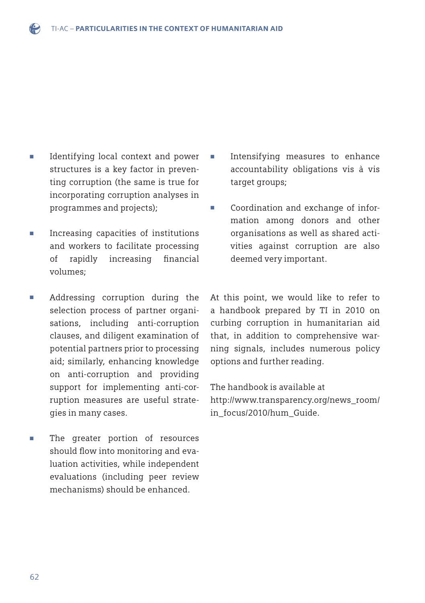- Identifying local context and power structures is a key factor in preven ting corruption (the same is true for incorporating corruption analyses in programmes and projects);
- Increasing capacities of institutions and workers to facilitate processing of rapidly increasing financial volumes;
- Addressing corruption during the selection process of partner organi sations, including anti-corruption clauses, and diligent examination of potential partners prior to processing aid; similarly, enhancing knowledge on anti-corruption and providing support for implementing anti-cor ruption measures are useful strate gies in many cases.
- The greater portion of resources should flow into monitoring and eva luation activities, while independent evaluations (including peer review mechanisms) should be enhanced.
- Intensifying measures to enhance accountability obligations vis à vis target groups;
- Coordination and exchange of infor mation among donors and other organisations as well as shared acti vities against corruption are also deemed very important.

At this point, we would like to refer to a handbook prepared by TI in 2010 on curbing corruption in humanitarian aid that, in addition to comprehensive warning signals, includes numerous policy options and further reading.

The handbook is available at http://www.transparency.org/news\_room/ in\_focus/2010/hum\_Guide.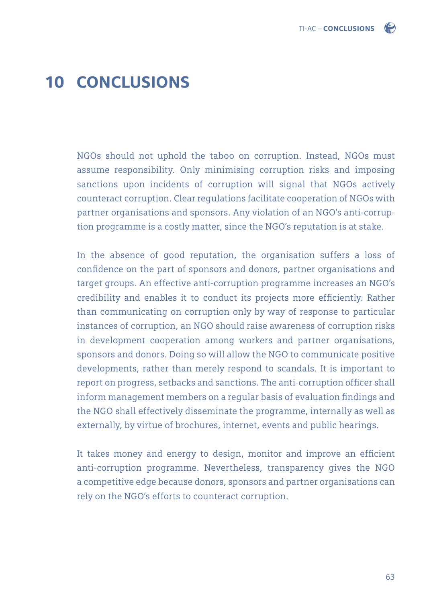

# 10 CONCLUSIONS

NGOs should not uphold the taboo on corruption. Instead, NGOs must assume responsibility. Only minimising corruption risks and imposing sanctions upon incidents of corruption will signal that NGOs actively counteract corruption. Clear regulations facilitate cooperation of NGOs with partner organisations and sponsors. Any violation of an NGO's anti-corruption programme is a costly matter, since the NGO's reputation is at stake.

In the absence of good reputation, the organisation suffers a loss of confidence on the part of sponsors and donors, partner organisations and target groups. An effective anti-corruption programme increases an NGO's credibility and enables it to conduct its projects more efficiently. Rather than communicating on corruption only by way of response to particular instances of corruption, an NGO should raise awareness of corruption risks in development cooperation among workers and partner organisations, sponsors and donors. Doing so will allow the NGO to communicate positive developments, rather than merely respond to scandals. It is important to report on progress, setbacks and sanctions. The anti-corruption officer shall inform management members on a regular basis of evaluation findings and the NGO shall effectively disseminate the programme, internally as well as externally, by virtue of brochures, internet, events and public hearings.

It takes money and energy to design, monitor and improve an efficient anti-corruption programme. Nevertheless, transparency gives the NGO a competitive edge because donors, sponsors and partner organisations can rely on the NGO's efforts to counteract corruption.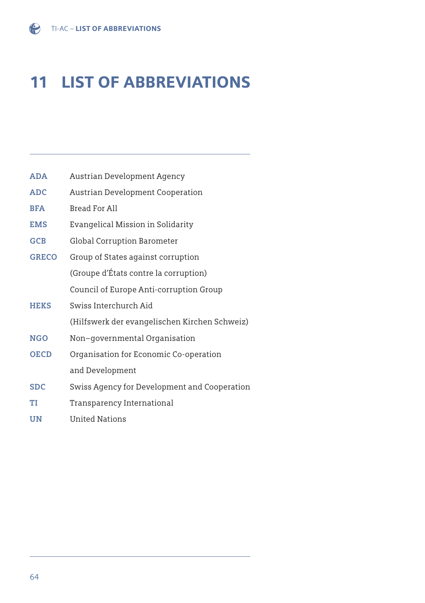**ADA** Austrian Development Agency **ADC** Austrian Development Cooperation

# 11 LIST OF ABBREVIATIONS

| <b>BFA</b>   | Bread For All                                 |
|--------------|-----------------------------------------------|
| <b>EMS</b>   | Evangelical Mission in Solidarity             |
| <b>GCB</b>   | Global Corruption Barometer                   |
| <b>GRECO</b> | Group of States against corruption            |
|              | (Groupe d'États contre la corruption)         |
|              | Council of Europe Anti-corruption Group       |
| <b>HEKS</b>  | Swiss Interchurch Aid                         |
|              | (Hilfswerk der evangelischen Kirchen Schweiz) |
| <b>NGO</b>   | Non–governmental Organisation                 |
| <b>OECD</b>  | Organisation for Economic Co-operation        |
|              | and Development                               |
| <b>SDC</b>   | Swiss Agency for Development and Cooperation  |
| TI           | Transparency International                    |
|              |                                               |

**UN** United Nations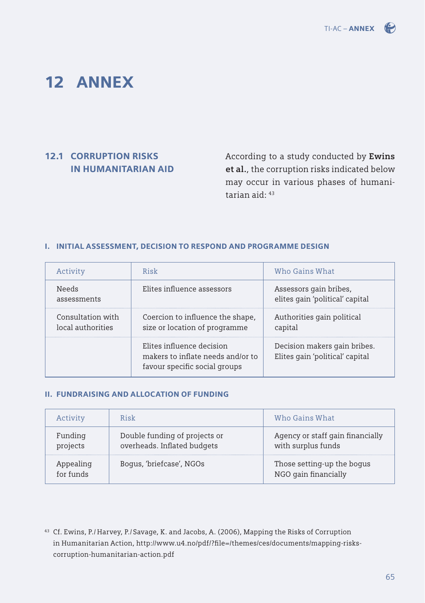

# 12 ANNEX

# 12.1 CORRUPTION RISKS IN HUMANITARIAN AID

According to a study conducted by **Ewins et al.**, the corruption risks indicated below may occur in various phases of humanitarian aid: 43

#### I. INITIAL ASSESSMENT, DECISION TO RESPOND AND PROGRAMME DESIGN

| Activity                               | Risk                                                                                            | Who Gains What                                                  |
|----------------------------------------|-------------------------------------------------------------------------------------------------|-----------------------------------------------------------------|
| <b>Needs</b><br>assessments            | Elites influence assessors                                                                      | Assessors gain bribes,<br>elites gain 'political' capital       |
| Consultation with<br>local authorities | Coercion to influence the shape,<br>size or location of programme                               | Authorities gain political<br>capital                           |
|                                        | Elites influence decision<br>makers to inflate needs and/or to<br>favour specific social groups | Decision makers gain bribes.<br>Elites gain 'political' capital |

#### II. FUNDRAISING AND ALLOCATION OF FUNDING

| Activity               | Risk                                                         | Who Gains What                                         |
|------------------------|--------------------------------------------------------------|--------------------------------------------------------|
| Funding<br>projects    | Double funding of projects or<br>overheads. Inflated budgets | Agency or staff gain financially<br>with surplus funds |
| Appealing<br>for funds | Boqus, 'briefcase', NGOs                                     | Those setting-up the bogus<br>NGO gain financially     |

<sup>43</sup> Cf. Ewins, P./ Harvey, P./ Savage, K. and Jacobs, A. (2006), Mapping the Risks of Corruption in Humanitarian Action, http://www.u4.no/pdf/?file=/themes/ces/documents/mapping-riskscorruption-humanitarian-action.pdf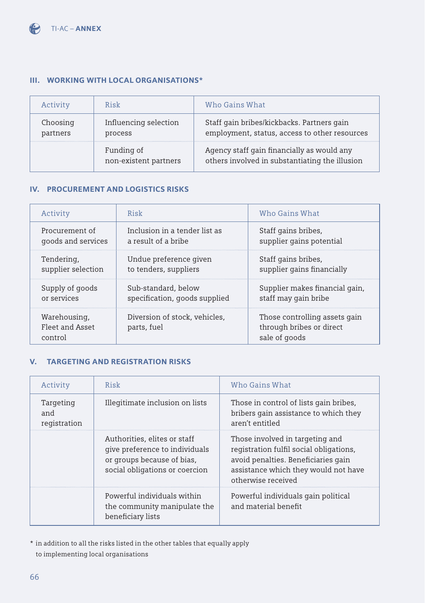### III. WORKING WITH LOCAL ORGANISATIONS\*

| Activity             | Risk                                | Who Gains What                                                                               |
|----------------------|-------------------------------------|----------------------------------------------------------------------------------------------|
| Choosing<br>partners | Influencing selection<br>process    | Staff gain bribes/kickbacks. Partners gain<br>employment, status, access to other resources  |
|                      | Funding of<br>non-existent partners | Agency staff gain financially as would any<br>others involved in substantiating the illusion |

#### IV. PROCUREMENT AND LOGISTICS RISKS

| Activity                                   | Risk                                         | Who Gains What                                                             |
|--------------------------------------------|----------------------------------------------|----------------------------------------------------------------------------|
| Procurement of                             | Inclusion in a tender list as                | Staff gains bribes,                                                        |
| goods and services                         | a result of a bribe                          | supplier gains potential                                                   |
| Tendering,                                 | Undue preference given                       | Staff gains bribes,                                                        |
| supplier selection                         | to tenders, suppliers                        | supplier gains financially                                                 |
| Supply of goods                            | Sub-standard, below                          | Supplier makes financial gain,                                             |
| or services                                | specification, goods supplied                | staff may gain bribe                                                       |
| Warehousing,<br>Fleet and Asset<br>control | Diversion of stock, vehicles,<br>parts, fuel | Those controlling assets gain<br>through bribes or direct<br>sale of goods |

### V. TARGETING AND REGISTRATION RISKS

| Activity                         | Risk                                                                                                                           | Who Gains What                                                                                                                                                                  |
|----------------------------------|--------------------------------------------------------------------------------------------------------------------------------|---------------------------------------------------------------------------------------------------------------------------------------------------------------------------------|
| Targeting<br>and<br>registration | Illegitimate inclusion on lists                                                                                                | Those in control of lists gain bribes,<br>bribers gain assistance to which they<br>aren't entitled                                                                              |
|                                  | Authorities, elites or staff<br>give preference to individuals<br>or groups because of bias,<br>social obligations or coercion | Those involved in targeting and<br>registration fulfil social obligations,<br>avoid penalties. Beneficiaries gain<br>assistance which they would not have<br>otherwise received |
|                                  | Powerful individuals within<br>the community manipulate the<br>beneficiary lists                                               | Powerful individuals gain political<br>and material benefit                                                                                                                     |

\* in addition to all the risks listed in the other tables that equally apply to implementing local organisations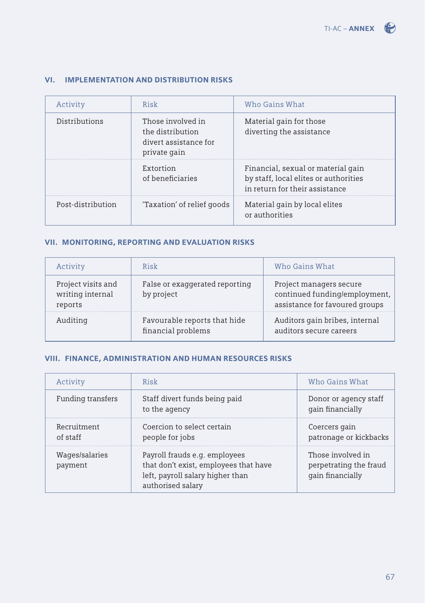| Activity          | Risk                                                                           | Who Gains What                                                                                                |
|-------------------|--------------------------------------------------------------------------------|---------------------------------------------------------------------------------------------------------------|
| Distributions     | Those involved in<br>the distribution<br>divert assistance for<br>private gain | Material gain for those<br>diverting the assistance                                                           |
|                   | Extortion<br>of beneficiaries                                                  | Financial, sexual or material gain<br>by staff, local elites or authorities<br>in return for their assistance |
| Post-distribution | 'Taxation' of relief goods                                                     | Material gain by local elites<br>or authorities                                                               |

### VI. IMPLEMENTATION AND DISTRIBUTION RISKS

## VII. MONITORING, REPORTING AND EVALUATION RISKS

| Activity                                          | Risk                                               | Who Gains What                                                                             |
|---------------------------------------------------|----------------------------------------------------|--------------------------------------------------------------------------------------------|
| Project visits and<br>writing internal<br>reports | False or exaggerated reporting<br>by project       | Project managers secure<br>continued funding/employment,<br>assistance for favoured groups |
| Auditing                                          | Favourable reports that hide<br>financial problems | Auditors gain bribes, internal<br>auditors secure careers                                  |

#### VIII. FINANCE, ADMINISTRATION AND HUMAN RESOURCES RISKS

| Activity                  | Risk                                                                                                                            | Who Gains What                                                  |
|---------------------------|---------------------------------------------------------------------------------------------------------------------------------|-----------------------------------------------------------------|
| Funding transfers         | Staff divert funds being paid<br>to the agency                                                                                  | Donor or agency staff<br>gain financially                       |
| Recruitment<br>of staff   | Coercion to select certain<br>people for jobs                                                                                   | Coercers gain<br>patronage or kickbacks                         |
| Wages/salaries<br>payment | Payroll frauds e.g. employees<br>that don't exist, employees that have<br>left, payroll salary higher than<br>authorised salary | Those involved in<br>perpetrating the fraud<br>gain financially |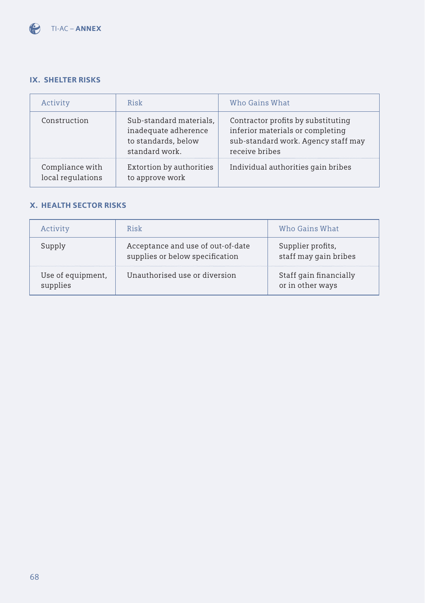

#### IX. SHELTER RISKS

| Activity                             | Risk                                                                                     | Who Gains What                                                                                                                  |
|--------------------------------------|------------------------------------------------------------------------------------------|---------------------------------------------------------------------------------------------------------------------------------|
| Construction                         | Sub-standard materials,<br>inadequate adherence<br>to standards, below<br>standard work. | Contractor profits by substituting<br>inferior materials or completing<br>sub-standard work. Agency staff may<br>receive bribes |
| Compliance with<br>local regulations | Extortion by authorities<br>to approve work                                              | Individual authorities gain bribes                                                                                              |

#### X. HEALTH SECTOR RISKS

|                               | Risk                                                                 | Who Gains What                             |
|-------------------------------|----------------------------------------------------------------------|--------------------------------------------|
|                               | Acceptance and use of out-of-date<br>supplies or below specification | Supplier profits,<br>staff may gain bribes |
| Use of equipment,<br>supplies | Unauthorised use or diversion                                        | Staff gain financially<br>or in other ways |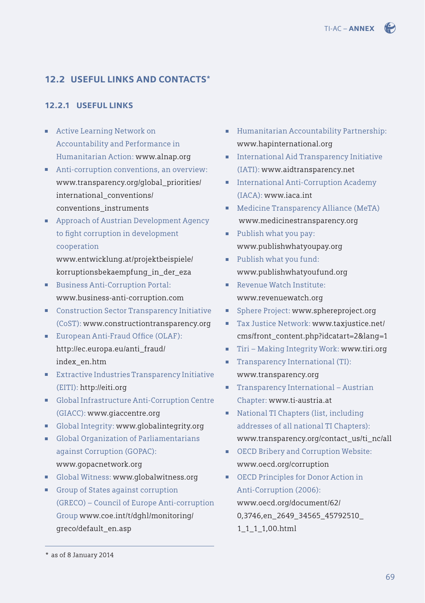## 12.2 USEFUL LINKS AND CONTACTS\*

#### 12.2.1 USEFUL LINKS

- Active Learning Network on Accountability and Performance in Humanitarian Action: www.alnap.org
- Anti-corruption conventions, an overview: [www.transparency.org/global\\_priorities/](http://www.transparency.org/global_priorities/international_conventions/conventions_instruments) international\_conventions/ conventions\_instruments
- Approach of Austrian Development Agency to fight corruption in development cooperation

www.entwicklung.at/projektbeispiele/ [korruptionsbekaempfung\\_in\\_der\\_eza](http://www.entwicklung.at/projektbeispiele) 

- Business Anti-Corruption Portal: www.business-anti-corruption.com
- Construction Sector Transparency Initiative (CoST): www.constructiontransparency.org
- European Anti-Fraud Office (OLAF): [http://ec.europa.eu/anti\\_fraud/](http://ec.europa.eu/anti_fraud/index_en.htm) index\_en.htm
- Extractive Industries Transparency Initiative (EITI): http://eiti.org
- Global Infrastructure Anti-Corruption Centre (GIACC): www.giaccentre.org
- Global Integrity: www.globalintegrity.org
- Global Organization of Parliamentarians against Corruption (GOPAC): www.gopacnetwork.org
- Global Witness: www.globalwitness.org
- Group of States against corruption (GRECO) – Council of Europe Anti-corruption [Group www.coe.int/t/dghl/monitoring/](http://www.coe.int/t/dghl/monitoring/greco/default_en.asp) greco/default\_en.asp
- Humanitarian Accountability Partnership: www.hapinternational.org
- International Aid Transparency Initiative (IATI): www.aidtransparency.net
- International Anti-Corruption Academy (IACA): www.iaca.int
- Medicine Transparency Alliance (MeTA) www.medicinestransparency.org
- Publish what you pay: www.publishwhatyoupay.org
- Publish what you fund: www.publishwhatyoufund.org
- Revenue Watch Institute: www.revenuewatch.org
- Sphere Project: www.sphereproject.org
- Tax Justice Network: www.taxjustice.net/ [cms/front\\_content.php?idcatart=2&lang=1](http://www.taxjustice.net/about/who-we-are/615/)
- Tiri Making Integrity Work: www.tiri.org
- Transparency International (TI): www.transparency.org
- Transparency International Austrian Chapter: www.ti-austria.at
- National TI Chapters (list, including addresses of all national TI Chapters): www.transparency.org/contact\_us/ti\_nc/all
- OECD Bribery and Corruption Website: www.oecd.org/corruption
- OECD Principles for Donor Action in Anti-Corruption (2006): www.oecd.org/document/62/ [0,3746,en\\_2649\\_34565\\_45792510\\_](http://www.oecd.org/dac/governance-development/principlesfordonoractiononanti-corruption.htm) 1\_1\_1\_1,00.html

<sup>\*</sup> as of 8 January 2014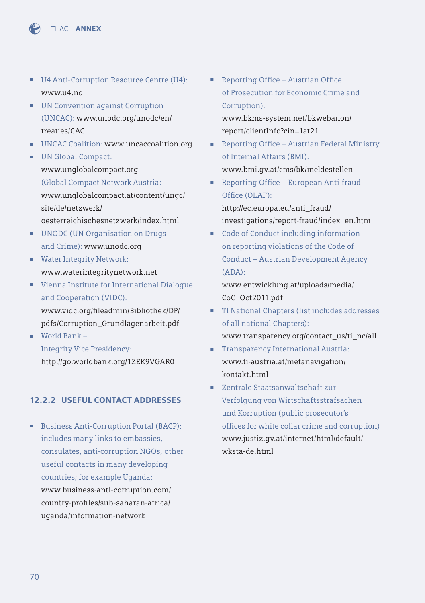

- U4 Anti-Corruption Resource Centre (U4): www.u4.no
- UN Convention against Corruption [\(UNCAC\): www.unodc.org/unodc/en/](http://www.unodc.org/unodc/en/treaties/CAC) treaties/CAC
- UNCAC Coalition: www.uncaccoalition.org
- UN Global Compact: www.unglobalcompact.org (Global Compact Network Austria: [www.unglobalcompact.at/content/ungc/](http://www.unglobalcompact.at/content/ungc/site/de/netzwerk/oesterreichischesnetzwerk/index.html) site/de/netzwerk/ oesterreichischesnetzwerk/index.html
- UNODC (UN Organisation on Drugs and Crime): www.unodc.org
- Water Integrity Network: www.waterintegritynetwork.net
- Vienna Institute for International Dialogue and Cooperation (VIDC): www.vidc.org/fi leadmin/Bibliothek/DP/ [pdfs/Corruption\\_Grundlagenarbeit.pdf](http://www.vidc.org/fileadmin/Bibliothek/DP/pdfs/Corruption_Grundlagenarbeit.pdf)
- World Bank Integrity Vice Presidency: http://go.worldbank.org/1ZEK9VGAR0

## 12.2.2 USEFUL CONTACT ADDRESSES

■ Business Anti-Corruption Portal (BACP): includes many links to embassies, consulates, anti-corruption NGOs, other useful contacts in many developing countries; for example Uganda: [www.business-anti-corruption.com/](http://www.business-anti-corruption.com/country-profiles/sub-saharan-africa/uganda/information-network) country-profi les/sub-saharan-africa/ uganda/information-network

- Reporting Office Austrian Office of Prosecution for Economic Crime and Corruption): www.bkms-system.net/bkwebanon/ report/clientInfo?cin=1at21
- Reporting Office Austrian Federal Ministry of Internal Affairs (BMI): www.bmi.gv.at/cms/bk/meldestellen
- Reporting Office European Anti-fraud Office (OLAF): http://ec.europa.eu/anti\_fraud/ [investigations/report-fraud/index\\_en.htm](http://ec.europa.eu/anti_fraud/investigations/report-fraud/index_en.htm)
- Code of Conduct including information on reporting violations of the Code of Conduct – Austrian Development Agency (ADA):

[www.entwicklung.at/uploads/media/](http://www.entwicklung.at/uploads/media/CoC_Oct2011.pdf) CoC\_Oct2011.pdf

- TI National Chapters (list includes addresses of all national Chapters): www.transparency.org/contact\_us/ti\_nc/all
- Transparency International Austria: www.ti-austria.at/metanavigation/ kontakt.html
- Zentrale Staatsanwaltschaft zur Verfolgung von Wirtschaftsstrafsachen und Korruption (public prosecutor's offices for white collar crime and corruption) [www.justiz.gv.at/internet/html/default/](http://www.justiz.gv.at/web2013/html/default/2c9484853f386e94013f57e43e3a0bd8.de.html) wksta-de.html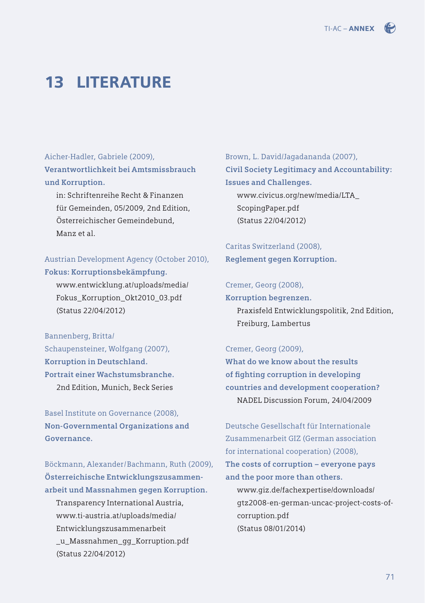

# 13 LITERATURE

Aicher-Hadler, Gabriele (2009), **Verantwortlichkeit bei Amtsmissbrauch und Korruption.** 

in: Schriftenreihe Recht & Finanzen für Gemeinden, 05/2009, 2nd Edition, Österreichischer Gemeindebund, Manz et al.

Austrian Development Agency (October 2010), **Fokus: Korruptionsbekämpfung.**

[www.entwicklung.at/uploads/media/](http://www.entwicklung.at/uploads/media/Fokus_Korruption_Okt2010_03.pdf) Fokus\_Korruption\_Okt2010\_03.pdf (Status 22/04/2012)

Bannenberg, Britta/ Schaupensteiner, Wolfgang (2007), **Korruption in Deutschland. Portrait einer Wachstumsbranche.**  2nd Edition, Munich, Beck Series

Basel Institute on Governance (2008), **Non-Governmental Organizations and Governance.** 

Böckmann, Alexander/Bachmann, Ruth (2009), **Österreichische Entwicklungszusammenarbeit und Massnahmen gegen Korruption.**  Transparency International Austria, www.ti-austria.at/uploads/media/ Entwicklungszusammenarbeit [\\_u\\_Massnahmen\\_gg\\_Korruption.pdf](http://www.ti-austria.at/uploads/media/Entwicklungszusammenarbeit_u_Massnahmen_gg_Korruption.pdf)  (Status 22/04/2012)

Brown, L. David/Jagadananda (2007), **Civil Society Legitimacy and Accountability: Issues and Challenges.** 

[www.civicus.org/new/media/LTA\\_](http://www.civicus.org/new/media/LTA_ScopingPaper.pdf) ScopingPaper.pdf (Status 22/04/2012)

Caritas Switzerland (2008), **Reglement gegen Korruption.** 

### Cremer, Georg (2008),

**Korruption begrenzen.**

Praxisfeld Entwicklungspolitik, 2nd Edition, Freiburg, Lambertus

#### Cremer, Georg (2009),

**What do we know about the results**  of fighting corruption in developing **countries and development cooperation?**  NADEL Discussion Forum, 24/04/2009

Deutsche Gesellschaft für Internationale Zusammenarbeit GIZ (German association for international cooperation) (2008), **The costs of corruption – everyone pays and the poor more than others.** 

www.giz.de/fachexpertise/downloads/ [gtz2008-en-german-uncac-project-costs-of](http://www.giz.de/fachexpertise/downloads/gtz2008-en-german-uncac-project-costs-of-corruption.pdf)corruption.pdf (Status 08/01/2014)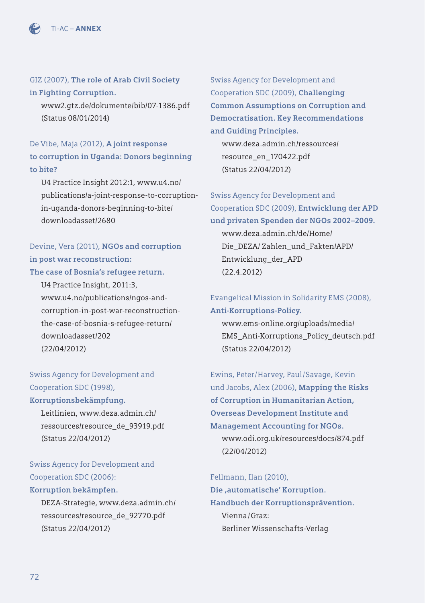

GIZ (2007), **The role of Arab Civil Society in Fighting Corruption.** 

[www2.gtz.de/dokumente/bib/07-1386.pdf](http://www2.gtz.de/dokumente/bib/07-1386.pdf)  (Status 08/01/2014)

### De Vibe, Maja (2012), **A joint response to corruption in Uganda: Donors beginning to bite?**

U4 Practice Insight 2012:1, www.u4.no/ [publications/a-joint-response-to-corruption](www.u4.no/publications/a-joint-response-to-corruption-in-uganda-donors-beginning-to-bite/downloadasset/2680)in-uganda-donors-beginning-to-bite/ downloadasset/2680

## Devine, Vera (2011), **NGOs and corruption in post war reconstruction:**

**The case of Bosnia's refugee return.** 

U4 Practice Insight, 2011:3, www.u4.no/publications/ngos-and[corruption-in-post-war-reconstruction](http://www.u4.no/publications/ngos-and-corruption-in-post-war-reconstruction-the-case-of-bosnia-s-refugee-return/downloadasset/202)the-case-of-bosnia-s-refugee-return/ downloadasset/202 (22/04/2012)

Swiss Agency for Development and Cooperation SDC (1998),

#### **Korruptionsbekämpfung.**

Leitlinien, www.deza.admin.ch/ [ressources/resource\\_de\\_93919.pdf](www.deza.admin.ch/ressources/resource_de_93919.pdf)  (Status 22/04/2012)

Swiss Agency for Development and Cooperation SDC (2006):

### **Korruption bekämpfen.**

[DEZA-Strategie, www.deza.admin.ch/](www.deza.admin.ch/ressources/resource_de_92770.pdf) ressources/resource\_de\_92770.pdf (Status 22/04/2012)

Swiss Agency for Development and Cooperation SDC (2009), **Challenging Common Assumptions on Corruption and Democratisation. Key Recommendations and Guiding Principles.** 

www.deza.admin.ch/ressources/ resource\_en\_170422.pdf (Status 22/04/2012)

Swiss Agency for Development and Cooperation SDC (2009), **Entwicklung der APD und privaten Spenden der NGOs 2002–2009.** www.deza.admin.ch/de/Home/ [Die\\_DEZA/ Zahlen\\_und\\_Fakten/APD/](www.deza.admin.ch/ressources/resource_en_170422.pdf) Entwicklung\_der\_APD (22.4.2012)

Evangelical Mission in Solidarity EMS (2008), **Anti-Korruptions-Policy.**  www.ems-online.org/uploads/media/

[EMS\\_Anti-Korruptions\\_Policy\\_deutsch.pdf](http://www.ems-online.org/uploads/media/EMS_Anti-Korruptions_Policy_deutsch.pdf)  (Status 22/04/2012)

Ewins, Peter/Harvey, Paul/Savage, Kevin und Jacobs, Alex (2006), **Mapping the Risks of Corruption in Humanitarian Action, Overseas Development Institute and Management Accounting for NGOs.**  www.odi.org.uk/resources/docs/874.pdf (22/04/2012)

Fellmann, Ilan (2010),

**Die ,automatische' Korruption. Handbuch der Korruptionsprävention.** Vienna/Graz: Berliner Wissenschafts-Verlag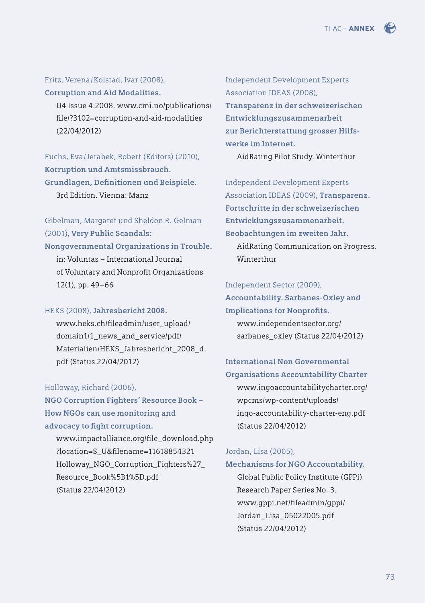### Fritz, Verena/Kolstad, Ivar (2008),

**Corruption and Aid Modalities.**

[U4 Issue 4:2008. www.cmi.no/publications/](http://www.cmi.no/publications/file/3102-corruption-and-aid-modalities.pdf) fi le/?3102=corruption-and-aid-modalities (22/04/2012)

Fuchs, Eva/Jerabek, Robert (Editors) (2010), **Korruption und Amtsmissbrauch.**  Grundlagen, Definitionen und Beispiele. 3rd Edition. Vienna: Manz

Gibelman, Margaret und Sheldon R. Gelman (2001), **Very Public Scandals: Nongovernmental Organizations in Trouble.** in: Voluntas – International Journal of Voluntary and Nonprofit Organizations 12(1), pp. 49–66

#### HEKS (2008), **Jahresbericht 2008.**

www.heks.ch/fileadmin/user\_upload/ domain1/1\_news\_and\_service/pdf/ [Materialien/HEKS\\_Jahresbericht\\_2008\\_d.](http://www.heks.ch/fi%20leadmin/user_upload/domain1/1_news_and_service/pdf/Materialien/HEKS_Jahresbericht_2008_d.) pdf (Status 22/04/2012)

### Holloway, Richard (2006),

**NGO Corruption Fighters' Resource Book – How NGOs can use monitoring and**  advocacy to fight corruption.

www.impactalliance.org/file\_download.php ?location=S\_U&filename=11618854321 Holloway\_NGO\_Corruption\_Fighters%27\_ Resource\_Book%5B1%5D.pdf (Status 22/04/2012)

Independent Development Experts Association IDEAS (2008), **Transparenz in der schweizerischen Entwicklungszusammenarbeit zur Berichterstattung grosser Hilfswerke im Internet.** 

AidRating Pilot Study. Winterthur

Independent Development Experts Association IDEAS (2009), **Transparenz. Fortschritte in der schweizerischen Entwicklungszusammenarbeit. Beobachtungen im zweiten Jahr.** AidRating Communication on Progress. Winterthur

#### Independent Sector (2009),

**Accountability. Sarbanes-Oxley and Implications for Nonprofits.** www.independentsector.org/ [sarbanes\\_oxley \(Status 22/04/2012\)](http://www.independentsector.org/sarbanes_oxley#sthash.2NJbmCe9.dpbs) 

# **International Non Governmental**

**Organisations Accountability Charter** [www.ingoaccountabilitycharter.org/](http://www.ingoaccountabilitycharter.org/wpcms/wp-content/uploads/ingo-accountability-charter-eng.pdf) wpcms/wp-content/uploads/ ingo-accountability-charter-eng.pdf (Status 22/04/2012)

### Jordan, Lisa (2005),

**Mechanisms for NGO Accountability.**  Global Public Policy Institute (GPPi) Research Paper Series No. 3. [www.gppi.net/fi leadmin/gppi/](http://www.gppi.net/fileadmin/gppi/Jordan_Lisa_05022005.pdf) Jordan\_Lisa\_05022005.pdf (Status 22/04/2012)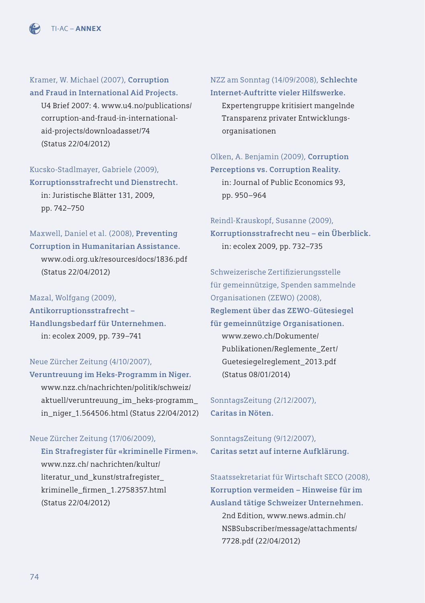

Kramer, W. Michael (2007), **Corruption and Fraud in International Aid Projects.** [U4 Brief 2007: 4. www.u4.no/publications/](http://www.u4.no/publications/corruption-and-fraud-in-international-aid-projects/downloadasset/74) corruption-and-fraud-in-internationalaid-projects/downloadasset/74 (Status 22/04/2012)

### Kucsko-Stadlmayer, Gabriele (2009), **Korruptionsstrafrecht und Dienstrecht.**

in: Juristische Blätter 131, 2009, pp. 742–750

### Maxwell, Daniel et al. (2008), **Preventing Corruption in Humanitarian Assistance.**

www.odi.org.uk/resources/docs/1836.pdf (Status 22/04/2012)

Mazal, Wolfgang (2009), **Antikorruptionsstrafrecht – Handlungsbedarf für Unternehmen.** in: ecolex 2009, pp. 739–741

### Neue Zürcher Zeitung (4/10/2007),

**Veruntreuung im Heks-Programm in Niger.** www.nzz.ch/nachrichten/politik/schweiz/ aktuell/veruntreuung\_im\_heks-programm\_ [in\\_niger\\_1.564506.html \(Status 22/04/2012\)](http://www.nzz.ch/aktuell/startseite/veruntreuung-im-heks-programm-in-niger-1.564506) 

### Neue Zürcher Zeitung (17/06/2009),

**Ein Strafregister für «kriminelle Firmen».**  www.nzz.ch/ nachrichten/kultur/ literatur\_und\_kunst/strafregister\_ kriminelle\_firmen\_1.2758357.html (Status 22/04/2012)

### NZZ am Sonntag (14/09/2008), **Schlechte**

**Internet-Auftritte vieler Hilfswerke.**  Expertengruppe kritisiert mangelnde Transparenz privater Entwicklungsorganisationen

Olken, A. Benjamin (2009), **Corruption Perceptions vs. Corruption Reality.** in: Journal of Public Economics 93, pp. 950–964

### Reindl-Krauskopf, Susanne (2009), **Korruptionsstrafrecht neu – ein Überblick.** in: ecolex 2009, pp. 732–735

Schweizerische Zertifizierungsstelle für gemeinnützige, Spenden sammelnde Organisationen (ZEWO) (2008), **Reglement über das ZEWO-Gütesiegel für gemeinnützige Organisationen.** www.zewo.ch/Dokumente/ Publikationen/Reglemente\_Zert/ [Guetesiegelreglement\\_2013.pdf](http://www.zewo.ch/Dokumente/Publikationen/Reglemente_Zert/Guetesiegelreglement_2013.pdf)  (Status 08/01/2014)

SonntagsZeitung (2/12/2007), **Caritas in Nöten.**

SonntagsZeitung (9/12/2007), **Caritas setzt auf interne Aufklärung.** 

Staatssekretariat für Wirtschaft SECO (2008), **Korruption vermeiden – Hinweise für im Ausland tätige Schweizer Unternehmen.**  2nd Edition, www.news.admin.ch/ [NSBSubscriber/message/attachments/](http://www.news.admin.ch/NSBSubscriber/message/attachments/7728.pdf) 7728.pdf (22/04/2012)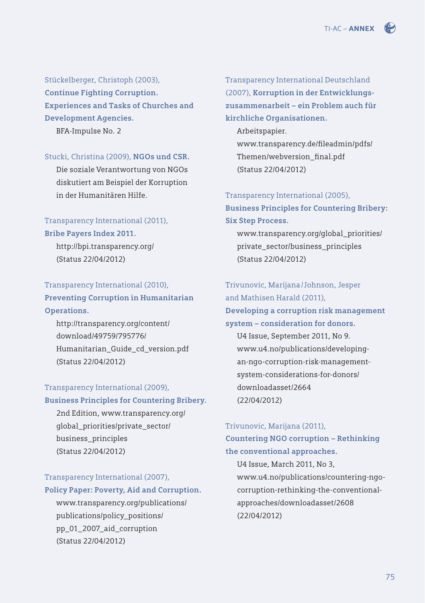Stückelberger, Christoph (2003), **Continue Fighting Corruption. Experiences and Tasks of Churches and Development Agencies.** 

BFA-Impulse No. 2

#### Stucki, Christina (2009), **NGOs und CSR.**

Die soziale Verantwortung von NGOs diskutiert am Beispiel der Korruption in der Humanitären Hilfe.

### Transparency International (2011),

#### **Bribe Payers Index 2011.**

http://bpi.transparency.org/ (Status 22/04/2012)

### Transparency International (2010),

**Preventing Corruption in Humanitarian Operations.**

http://transparency.org/content/ download/49759/795776/ Humanitarian\_Guide\_cd\_version.pdf (Status 22/04/2012)

### Transparency International (2009),

**Business Principles for Countering Bribery.** 

[2nd Edition, www.transparency.org/](http://transparency.org/content/download/49759/795776/Humanitarian_Guide_cd_version.pdf) global\_priorities/private\_sector/ business\_principles (Status 22/04/2012)

#### Transparency International (2007),

#### **Policy Paper: Poverty, Aid and Corruption.**

www.transparency.org/publications/ publications/policy\_positions/ pp\_01\_2007\_aid\_corruption (Status 22/04/2012)

Transparency International Deutschland (2007), **Korruption in der Entwicklungszusammenarbeit – ein Problem auch für kirchliche Organisationen.** 

Arbeitspapier. www.transparency.de/fileadmin/pdfs/ Themen/webversion\_final.pdf (Status 22/04/2012)

#### Transparency International (2005),

**Business Principles for Countering Bribery: Six Step Process.**

[www.transparency.org/global\\_priorities/](http://www.transparency.org/whatwedo/tools/business_principles_for_countering_bribery/1/) private\_sector/business\_principles (Status 22/04/2012)

### Trivunovic, Marijana /Johnson, Jesper and Mathisen Harald (2011),

**Developing a corruption risk management system – consideration for donors.** U4 Issue, September 2011, No 9.

www.u4.no/publications/developing[an-ngo-corruption-risk-management](www.u4.no/publications/developing-an-ngo-corruption-risk-management-system-considerations-for-donors/downloadasset/2664)system-considerations-for-donors/ downloadasset/2664 (22/04/2012)

### Trivunovic, Marijana (2011),

### **Countering NGO corruption – Rethinking the conventional approaches.**

U4 Issue, March 2011, No 3, [www.u4.no/publications/countering-ngo](www.u4.no/publications/countering-ngo-corruption-rethinking-the-conventional-approaches/downloadasset/2608)corruption-rethinking-the-conventionalapproaches/downloadasset/2608 (22/04/2012)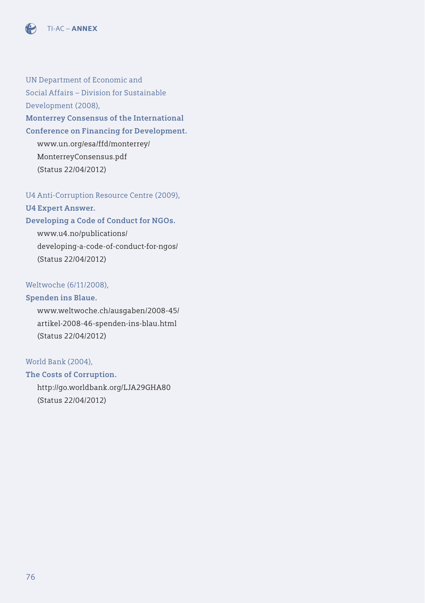

UN Department of Economic and Social Affairs – Division for Sustainable Development (2008), **Monterrey Consensus of the International Conference on Financing for Development.**  [www.un.org/esa/ffd/monterrey/](www.un.org/esa/ffd/monterrey/MonterreyConsensus.pdf)

MonterreyConsensus.pdf (Status 22/04/2012)

U4 Anti-Corruption Resource Centre (2009), **U4 Expert Answer.** 

### **Developing a Code of Conduct for NGOs.**

www.u4.no/publications/ [developing-a-code-of-conduct-for-ngos/](http://www.u4.no/publications/developing-a-code-of-conduct-for-ngos/)  (Status 22/04/2012)

### Weltwoche (6/11/2008),

#### **Spenden ins Blaue.**

[www.weltwoche.ch/ausgaben/2008-45/](http://www.weltwoche.ch/ausgaben/2008-45/artikel-2008-46-spenden-ins-blau.html) artikel-2008-46-spenden-ins-blau.html (Status 22/04/2012)

### World Bank (2004),

**The Costs of Corruption.**  http://go.worldbank.org/LJA29GHA80 (Status 22/04/2012)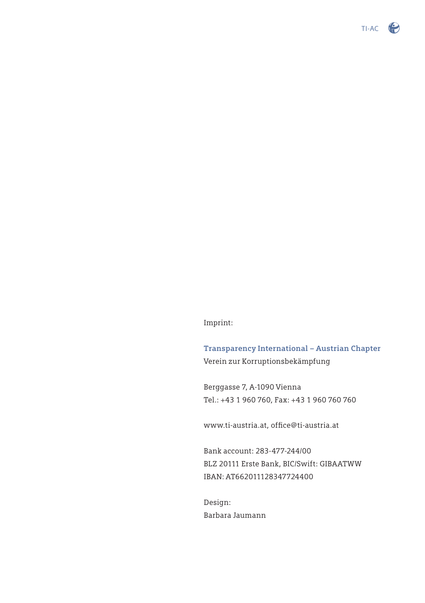

Imprint:

**Transparency International – Austrian Chapter** Verein zur Korruptionsbekämpfung

Berggasse 7, A-1090 Vienna Tel.: +43 1 960 760, Fax: +43 1 960 760 760

www.ti-austria.at, office@ti-austria.at

Bank account: 283-477-244/00 BLZ 20111 Erste Bank, BIC/Swift: GIBAATWW IBAN: AT662011128347724400

Design: Barbara Jaumann